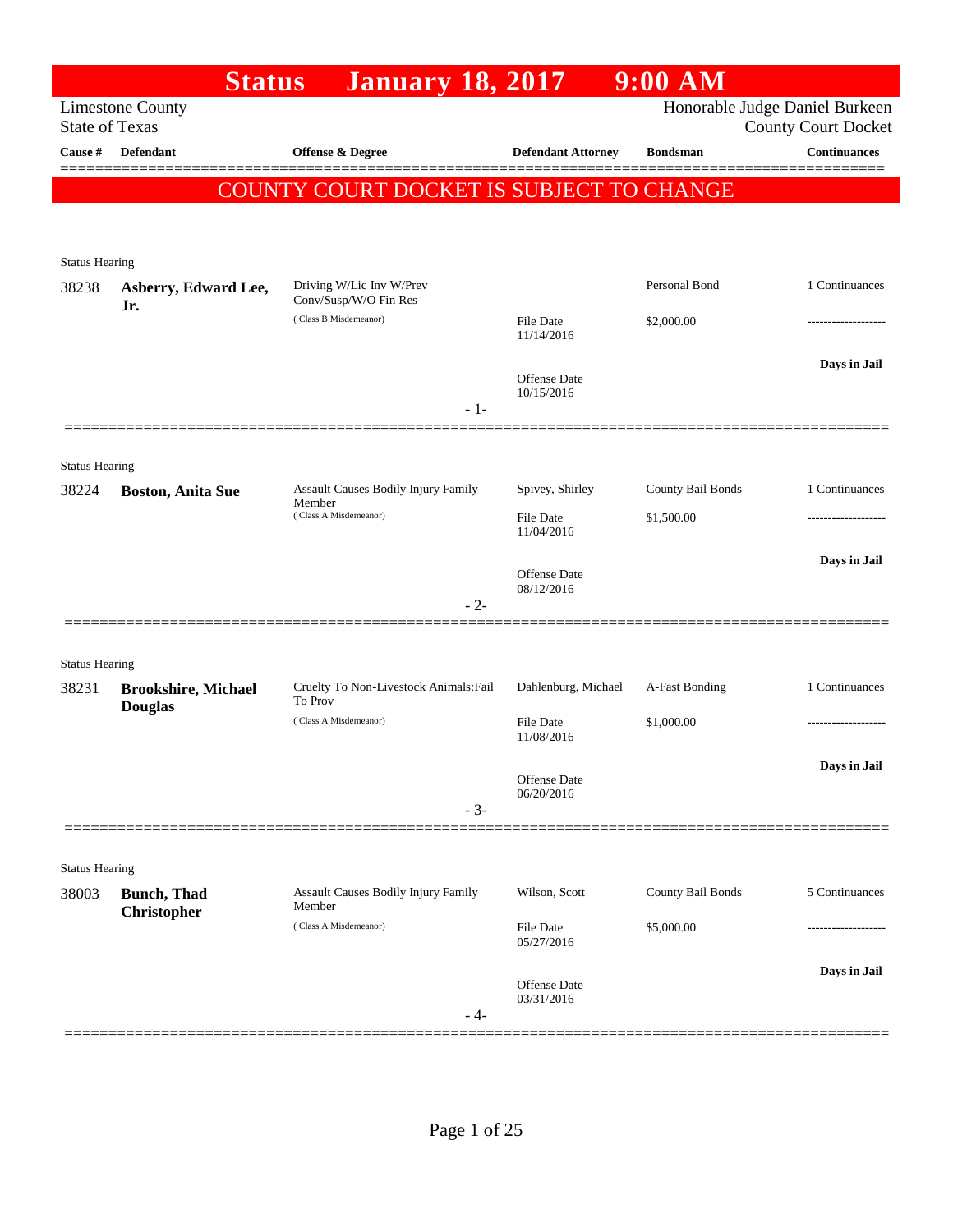|                       | <b>Status</b>                                    | <b>January 18, 2017</b>                                                |                                     | $9:00$ AM         |                                                              |
|-----------------------|--------------------------------------------------|------------------------------------------------------------------------|-------------------------------------|-------------------|--------------------------------------------------------------|
|                       | <b>Limestone County</b><br><b>State of Texas</b> |                                                                        |                                     |                   | Honorable Judge Daniel Burkeen<br><b>County Court Docket</b> |
| Cause #               | <b>Defendant</b>                                 | Offense & Degree                                                       | <b>Defendant Attorney</b>           | <b>Bondsman</b>   | <b>Continuances</b>                                          |
|                       |                                                  |                                                                        |                                     |                   |                                                              |
|                       |                                                  | <b>COUNTY COURT DOCKET IS SUBJECT TO CHANGE</b>                        |                                     |                   |                                                              |
|                       |                                                  |                                                                        |                                     |                   |                                                              |
| <b>Status Hearing</b> |                                                  |                                                                        |                                     |                   |                                                              |
| 38238                 | Asberry, Edward Lee,<br>Jr.                      | Driving W/Lic Inv W/Prev<br>Conv/Susp/W/O Fin Res                      |                                     | Personal Bond     | 1 Continuances                                               |
|                       |                                                  | (Class B Misdemeanor)                                                  | File Date<br>11/14/2016             | \$2,000.00        |                                                              |
|                       |                                                  |                                                                        |                                     |                   | Days in Jail                                                 |
|                       |                                                  |                                                                        | Offense Date<br>10/15/2016          |                   |                                                              |
|                       |                                                  | $-1-$                                                                  |                                     |                   |                                                              |
|                       | ==============                                   |                                                                        |                                     |                   |                                                              |
| <b>Status Hearing</b> |                                                  |                                                                        |                                     | County Bail Bonds | 1 Continuances                                               |
| 38224                 | <b>Boston, Anita Sue</b>                         | Assault Causes Bodily Injury Family<br>Member<br>(Class A Misdemeanor) | Spivey, Shirley<br><b>File Date</b> | \$1,500.00        |                                                              |
|                       |                                                  |                                                                        | 11/04/2016                          |                   |                                                              |
|                       |                                                  |                                                                        | <b>Offense</b> Date                 |                   | Days in Jail                                                 |
|                       |                                                  | $-2-$                                                                  | 08/12/2016                          |                   |                                                              |
|                       |                                                  |                                                                        |                                     |                   |                                                              |
| <b>Status Hearing</b> |                                                  |                                                                        |                                     |                   |                                                              |
| 38231                 | <b>Brookshire, Michael</b>                       | Cruelty To Non-Livestock Animals: Fail                                 | Dahlenburg, Michael                 | A-Fast Bonding    | 1 Continuances                                               |
|                       | <b>Douglas</b>                                   | To Prov<br>(Class A Misdemeanor)                                       | File Date                           | \$1,000.00        |                                                              |
|                       |                                                  |                                                                        | 11/08/2016                          |                   |                                                              |
|                       |                                                  |                                                                        | Offense Date                        |                   | Days in Jail                                                 |
|                       |                                                  | $-3-$                                                                  | 06/20/2016                          |                   |                                                              |
|                       |                                                  |                                                                        |                                     |                   |                                                              |
| <b>Status Hearing</b> |                                                  |                                                                        |                                     |                   |                                                              |
| 38003                 | <b>Bunch</b> , Thad                              | <b>Assault Causes Bodily Injury Family</b><br>Member                   | Wilson, Scott                       | County Bail Bonds | 5 Continuances                                               |
|                       | <b>Christopher</b>                               | (Class A Misdemeanor)                                                  | File Date                           | \$5,000.00        |                                                              |
|                       |                                                  |                                                                        | 05/27/2016                          |                   |                                                              |
|                       |                                                  |                                                                        | Offense Date<br>03/31/2016          |                   | Days in Jail                                                 |
|                       |                                                  | - 4-                                                                   |                                     |                   |                                                              |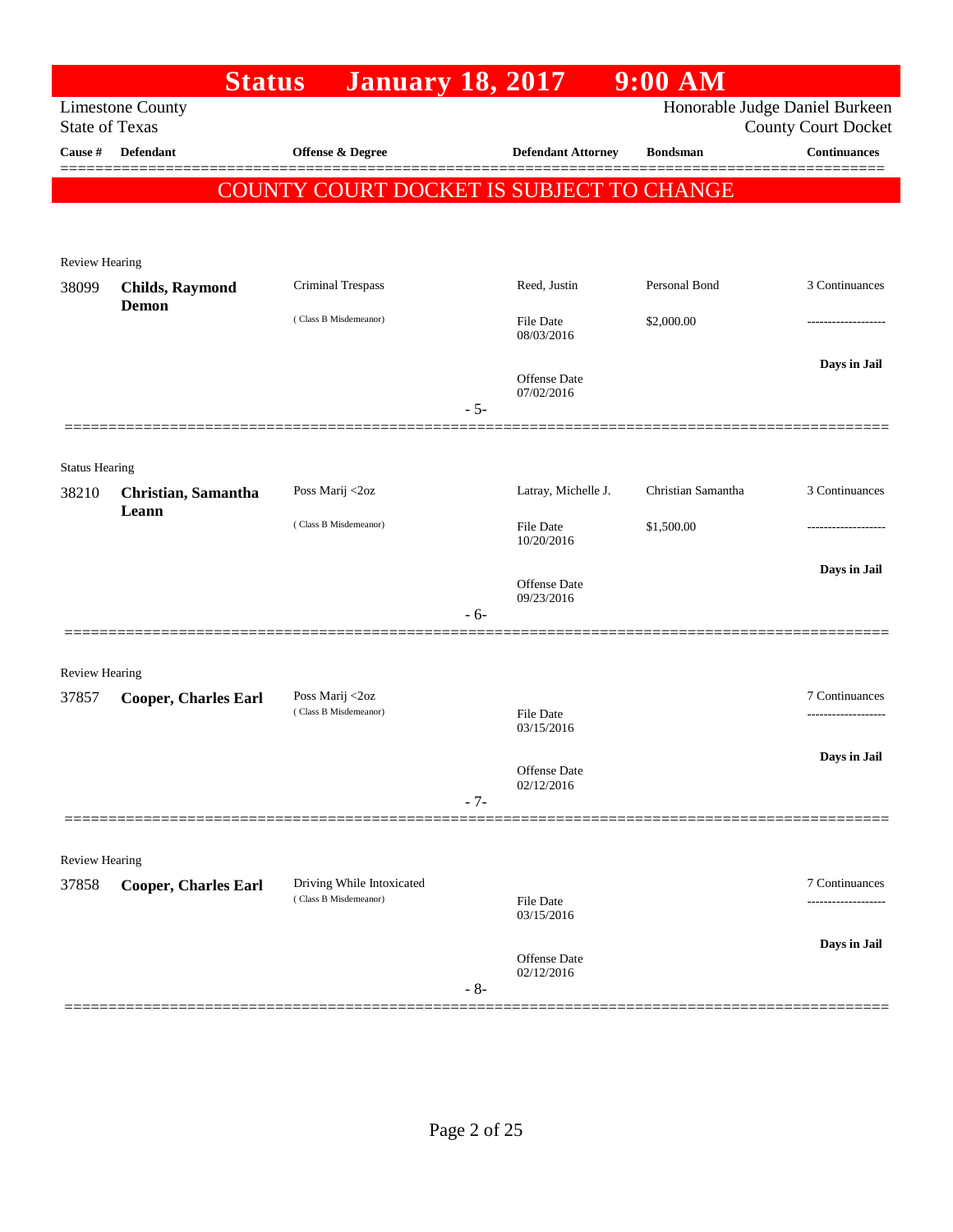|                         | <b>Status</b>                                    | <b>January 18, 2017</b>                            |       |                                   | $9:00$ AM          |                                                              |
|-------------------------|--------------------------------------------------|----------------------------------------------------|-------|-----------------------------------|--------------------|--------------------------------------------------------------|
|                         | <b>Limestone County</b><br><b>State of Texas</b> |                                                    |       |                                   |                    | Honorable Judge Daniel Burkeen<br><b>County Court Docket</b> |
| Cause #                 | <b>Defendant</b>                                 | Offense & Degree                                   |       | <b>Defendant Attorney</b>         | <b>Bondsman</b>    | <b>Continuances</b>                                          |
|                         |                                                  | COUNTY COURT DOCKET IS SUBJECT TO CHANGE           |       |                                   |                    |                                                              |
|                         |                                                  |                                                    |       |                                   |                    |                                                              |
| <b>Review Hearing</b>   |                                                  |                                                    |       |                                   |                    |                                                              |
| 38099                   | <b>Childs, Raymond</b>                           | Criminal Trespass                                  |       | Reed, Justin                      | Personal Bond      | 3 Continuances                                               |
|                         | <b>Demon</b>                                     | (Class B Misdemeanor)                              |       | <b>File Date</b><br>08/03/2016    | \$2,000.00         |                                                              |
|                         |                                                  |                                                    |       | Offense Date<br>07/02/2016        |                    | Days in Jail                                                 |
|                         |                                                  |                                                    | $-5-$ |                                   |                    |                                                              |
| <b>Status Hearing</b>   |                                                  |                                                    |       |                                   |                    |                                                              |
| 38210                   | Christian, Samantha                              | Poss Marij <2oz                                    |       | Latray, Michelle J.               | Christian Samantha | 3 Continuances                                               |
|                         | Leann                                            | (Class B Misdemeanor)                              |       | <b>File Date</b><br>10/20/2016    | \$1,500.00         |                                                              |
|                         |                                                  |                                                    |       | Offense Date<br>09/23/2016        |                    | Days in Jail                                                 |
|                         | =================                                |                                                    | $-6-$ |                                   |                    |                                                              |
|                         |                                                  |                                                    |       |                                   |                    |                                                              |
| Review Hearing<br>37857 | <b>Cooper, Charles Earl</b>                      | Poss Marij <2oz                                    |       |                                   |                    | 7 Continuances                                               |
|                         |                                                  | (Class B Misdemeanor)                              |       | File Date<br>03/15/2016           |                    |                                                              |
|                         |                                                  |                                                    |       | Offense Date                      |                    | Days in Jail                                                 |
|                         |                                                  |                                                    | $-7-$ | 02/12/2016                        |                    |                                                              |
|                         |                                                  |                                                    |       |                                   |                    |                                                              |
| Review Hearing          |                                                  |                                                    |       |                                   |                    |                                                              |
| 37858                   | <b>Cooper, Charles Earl</b>                      | Driving While Intoxicated<br>(Class B Misdemeanor) |       | <b>File Date</b>                  |                    | 7 Continuances<br>-------------------                        |
|                         |                                                  |                                                    |       | 03/15/2016                        |                    |                                                              |
|                         |                                                  |                                                    | $-8-$ | <b>Offense Date</b><br>02/12/2016 |                    | Days in Jail                                                 |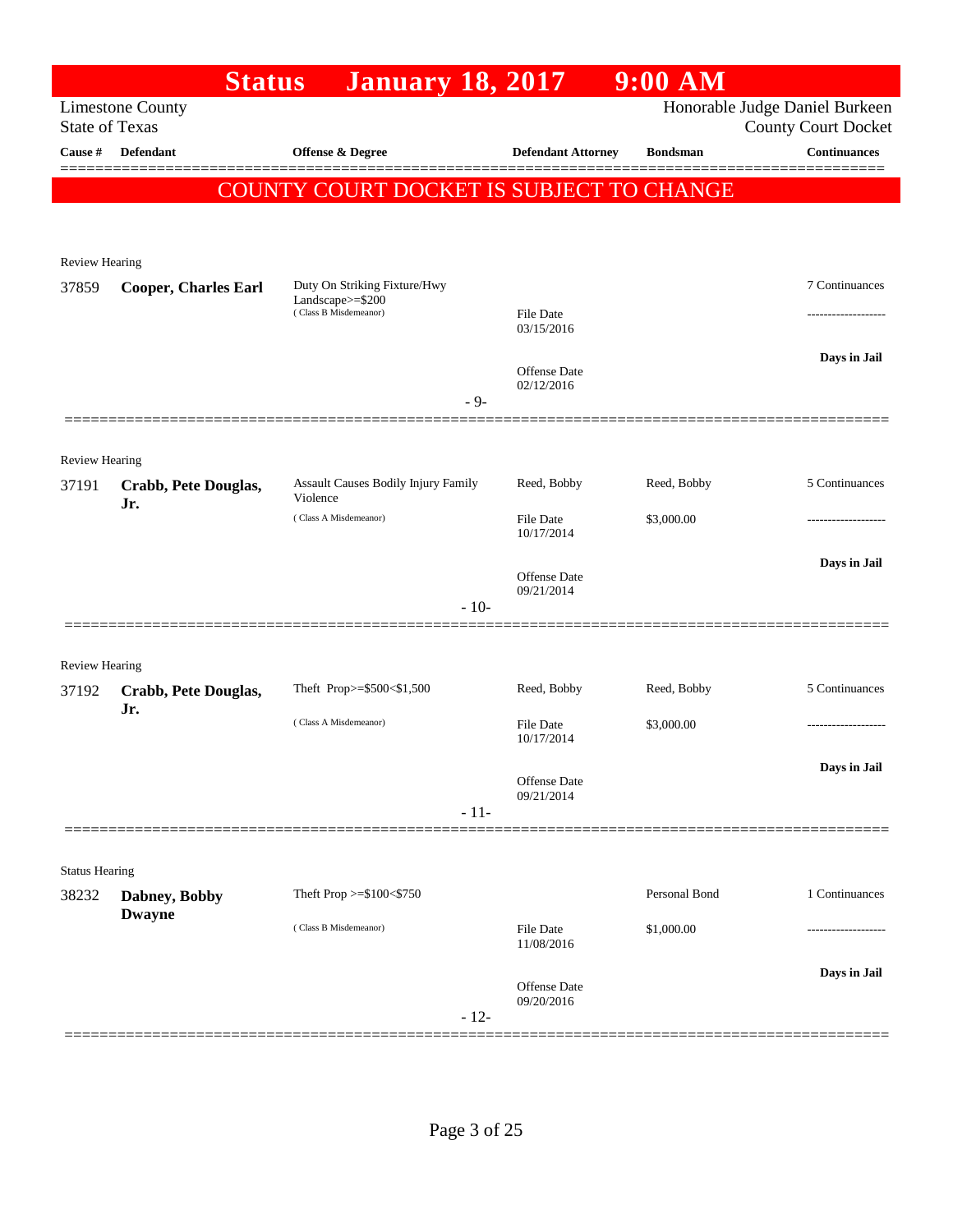|                       | <b>Status</b>                  | <b>January 18, 2017</b>                         |                                   | $9:00$ AM       |                                                              |
|-----------------------|--------------------------------|-------------------------------------------------|-----------------------------------|-----------------|--------------------------------------------------------------|
| <b>State of Texas</b> | <b>Limestone County</b>        |                                                 |                                   |                 | Honorable Judge Daniel Burkeen<br><b>County Court Docket</b> |
| Cause #               | <b>Defendant</b>               | <b>Offense &amp; Degree</b>                     | <b>Defendant Attorney</b>         | <b>Bondsman</b> | <b>Continuances</b>                                          |
|                       |                                | <b>COUNTY COURT DOCKET IS SUBJECT TO CHANGE</b> |                                   |                 |                                                              |
|                       |                                |                                                 |                                   |                 |                                                              |
| Review Hearing        | <b>Cooper, Charles Earl</b>    | Duty On Striking Fixture/Hwy                    |                                   |                 | 7 Continuances                                               |
| 37859                 |                                | Landscape $>=$ \$200<br>(Class B Misdemeanor)   | <b>File Date</b><br>03/15/2016    |                 |                                                              |
|                       |                                | $-9-$                                           | <b>Offense Date</b><br>02/12/2016 |                 | Days in Jail                                                 |
|                       |                                |                                                 |                                   |                 |                                                              |
| Review Hearing        |                                |                                                 |                                   |                 |                                                              |
| 37191                 | Crabb, Pete Douglas,<br>Jr.    | Assault Causes Bodily Injury Family<br>Violence | Reed, Bobby                       | Reed, Bobby     | 5 Continuances                                               |
|                       |                                | (Class A Misdemeanor)                           | <b>File Date</b><br>10/17/2014    | \$3,000.00      |                                                              |
|                       |                                |                                                 | <b>Offense Date</b><br>09/21/2014 |                 | Days in Jail                                                 |
|                       |                                | $-10-$                                          |                                   |                 |                                                              |
| Review Hearing        |                                |                                                 |                                   |                 |                                                              |
| 37192                 | Crabb, Pete Douglas,           | Theft Prop>=\$500<\$1,500                       | Reed, Bobby                       | Reed, Bobby     | 5 Continuances                                               |
|                       | Jr.                            | (Class A Misdemeanor)                           | <b>File Date</b><br>10/17/2014    | \$3,000.00      |                                                              |
|                       |                                | $-11-$                                          | Offense Date<br>09/21/2014        |                 | Days in Jail                                                 |
|                       |                                |                                                 |                                   |                 |                                                              |
| <b>Status Hearing</b> |                                |                                                 |                                   |                 |                                                              |
| 38232                 | Dabney, Bobby<br><b>Dwayne</b> | Theft Prop >=\$100<\$750                        |                                   | Personal Bond   | 1 Continuances                                               |
|                       |                                | (Class B Misdemeanor)                           | <b>File Date</b><br>11/08/2016    | \$1,000.00      |                                                              |
|                       |                                | $-12-$                                          | Offense Date<br>09/20/2016        |                 | Days in Jail                                                 |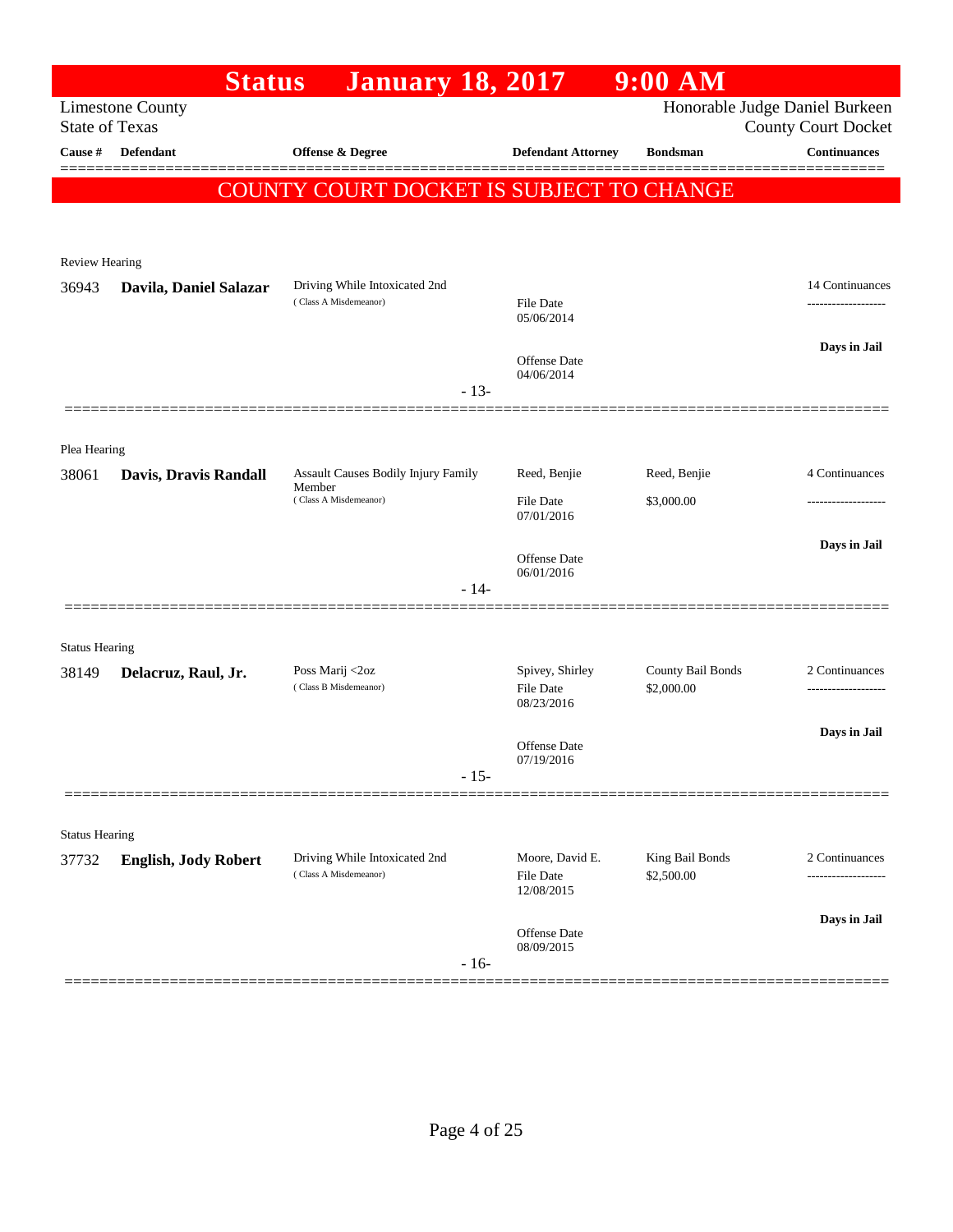|                       | <b>Status</b>               | <b>January 18, 2017</b>                  |                                |                                            | $9:00$ AM                       |                                                              |
|-----------------------|-----------------------------|------------------------------------------|--------------------------------|--------------------------------------------|---------------------------------|--------------------------------------------------------------|
| <b>State of Texas</b> | <b>Limestone County</b>     |                                          |                                |                                            |                                 | Honorable Judge Daniel Burkeen<br><b>County Court Docket</b> |
| Cause #               | Defendant                   | <b>Offense &amp; Degree</b>              |                                | <b>Defendant Attorney</b>                  | <b>Bondsman</b>                 | <b>Continuances</b>                                          |
|                       |                             | COUNTY COURT DOCKET IS SUBJECT TO CHANGE |                                |                                            |                                 |                                                              |
|                       |                             |                                          |                                |                                            |                                 |                                                              |
| <b>Review Hearing</b> |                             |                                          |                                |                                            |                                 |                                                              |
| 36943                 | Davila, Daniel Salazar      | Driving While Intoxicated 2nd            |                                |                                            |                                 | 14 Continuances                                              |
|                       |                             | (Class A Misdemeanor)                    |                                | File Date<br>05/06/2014                    |                                 | .                                                            |
|                       |                             |                                          |                                | Offense Date                               |                                 | Days in Jail                                                 |
|                       |                             |                                          | $-13-$                         | 04/06/2014                                 |                                 |                                                              |
|                       |                             |                                          |                                |                                            |                                 |                                                              |
| Plea Hearing          |                             |                                          |                                |                                            |                                 |                                                              |
| 38061                 | Davis, Dravis Randall       | Assault Causes Bodily Injury Family      |                                | Reed, Benjie                               | Reed, Benjie                    | 4 Continuances                                               |
|                       |                             | Member<br>(Class A Misdemeanor)          | <b>File Date</b><br>07/01/2016 | \$3,000.00                                 |                                 |                                                              |
|                       |                             |                                          |                                |                                            |                                 | Days in Jail                                                 |
|                       |                             |                                          |                                | Offense Date<br>06/01/2016                 |                                 |                                                              |
|                       |                             |                                          | $-14-$                         |                                            |                                 |                                                              |
|                       |                             |                                          |                                |                                            |                                 |                                                              |
| <b>Status Hearing</b> |                             |                                          |                                |                                            |                                 |                                                              |
| 38149                 | Delacruz, Raul, Jr.         | Poss Marij <2oz<br>(Class B Misdemeanor) |                                | Spivey, Shirley<br>File Date<br>08/23/2016 | County Bail Bonds<br>\$2,000.00 | 2 Continuances<br>-------------------                        |
|                       |                             |                                          |                                |                                            |                                 | Days in Jail                                                 |
|                       |                             |                                          |                                | <b>Offense Date</b><br>07/19/2016          |                                 |                                                              |
|                       |                             |                                          | $-15-$                         |                                            |                                 |                                                              |
|                       |                             |                                          |                                |                                            |                                 |                                                              |
| <b>Status Hearing</b> |                             | Driving While Intoxicated 2nd            |                                | Moore, David E.                            | King Bail Bonds                 | 2 Continuances                                               |
| 37732                 | <b>English, Jody Robert</b> | (Class A Misdemeanor)                    |                                | File Date<br>12/08/2015                    | \$2,500.00                      | .                                                            |
|                       |                             |                                          |                                |                                            |                                 | Days in Jail                                                 |
|                       |                             |                                          | $-16-$                         | Offense Date<br>08/09/2015                 |                                 |                                                              |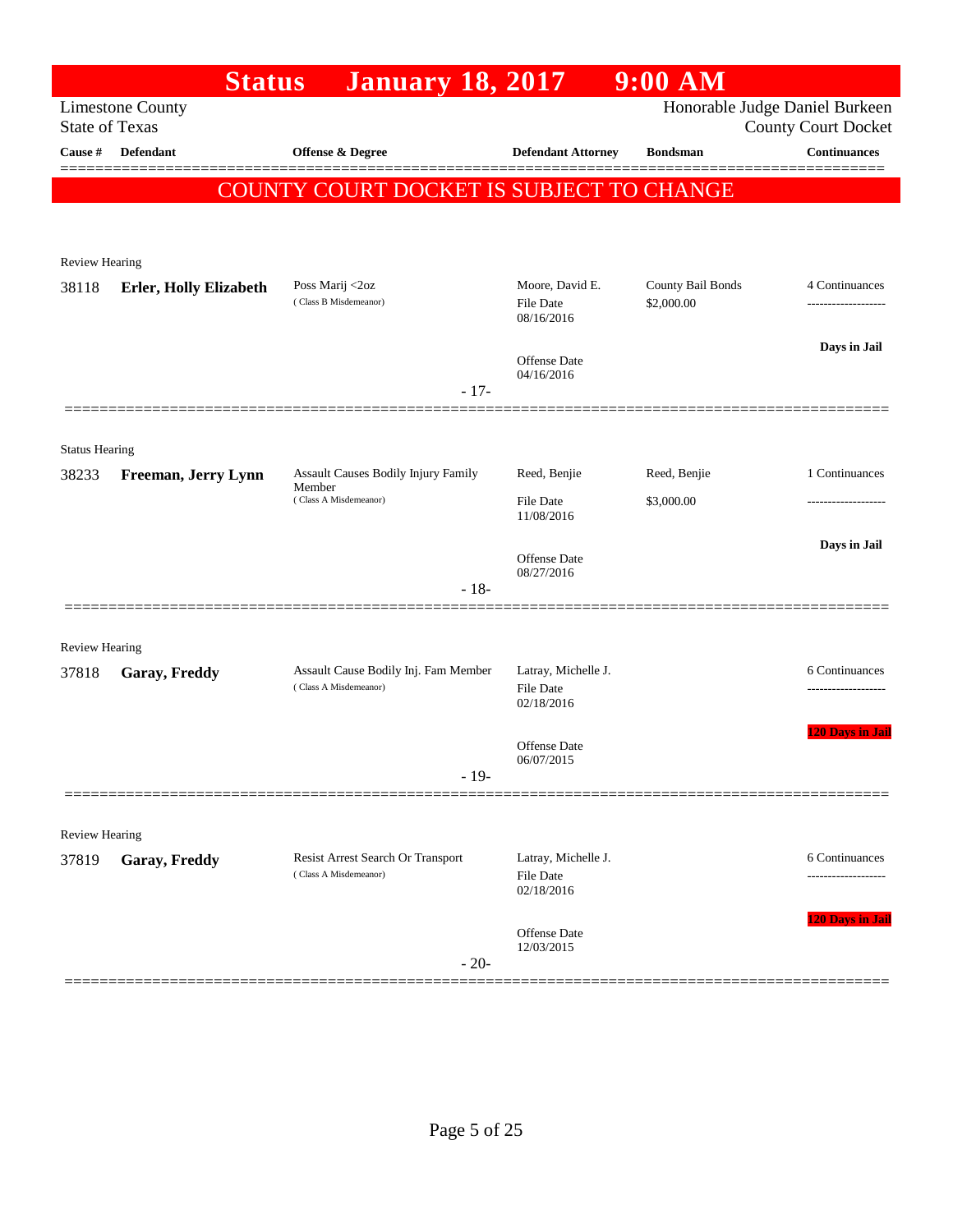|                                | <b>Status</b>                 | <b>January 18, 2017</b>                                       |                                                       | $9:00$ AM         |                                                              |
|--------------------------------|-------------------------------|---------------------------------------------------------------|-------------------------------------------------------|-------------------|--------------------------------------------------------------|
| <b>State of Texas</b>          | <b>Limestone County</b>       |                                                               |                                                       |                   | Honorable Judge Daniel Burkeen<br><b>County Court Docket</b> |
| Cause #                        | <b>Defendant</b>              | Offense & Degree                                              | <b>Defendant Attorney</b>                             | <b>Bondsman</b>   | <b>Continuances</b>                                          |
|                                |                               | <b>COUNTY COURT DOCKET IS SUBJECT TO CHANGE</b>               |                                                       |                   |                                                              |
|                                |                               |                                                               |                                                       |                   |                                                              |
| <b>Review Hearing</b>          |                               |                                                               |                                                       |                   |                                                              |
| 38118                          | <b>Erler, Holly Elizabeth</b> | Poss Marij <2oz                                               | Moore, David E.                                       | County Bail Bonds | 4 Continuances                                               |
|                                |                               | (Class B Misdemeanor)                                         | File Date<br>08/16/2016                               | \$2,000.00        |                                                              |
|                                |                               |                                                               | Offense Date<br>04/16/2016                            |                   | Days in Jail                                                 |
|                                |                               | $-17-$                                                        |                                                       |                   |                                                              |
|                                |                               |                                                               |                                                       |                   |                                                              |
| <b>Status Hearing</b><br>38233 | Freeman, Jerry Lynn           | Assault Causes Bodily Injury Family                           | Reed, Benjie                                          | Reed, Benjie      | 1 Continuances                                               |
|                                |                               | Member<br>(Class A Misdemeanor)                               | <b>File Date</b>                                      | \$3,000.00        | -----------------                                            |
|                                |                               |                                                               | 11/08/2016                                            |                   |                                                              |
|                                |                               |                                                               | <b>Offense</b> Date                                   |                   | Days in Jail                                                 |
|                                |                               | $-18-$                                                        | 08/27/2016                                            |                   |                                                              |
|                                |                               |                                                               |                                                       |                   |                                                              |
| Review Hearing                 |                               |                                                               |                                                       |                   |                                                              |
| 37818                          | Garay, Freddy                 | Assault Cause Bodily Inj. Fam Member<br>(Class A Misdemeanor) | Latray, Michelle J.<br><b>File Date</b><br>02/18/2016 |                   | 6 Continuances                                               |
|                                |                               |                                                               | Offense Date                                          |                   | <b>120 Days in Jail</b>                                      |
|                                |                               | $-19-$                                                        | 06/07/2015                                            |                   |                                                              |
|                                |                               |                                                               |                                                       |                   |                                                              |
| Review Hearing                 |                               |                                                               |                                                       |                   |                                                              |
| 37819                          | Garay, Freddy                 | Resist Arrest Search Or Transport<br>(Class A Misdemeanor)    | Latray, Michelle J.<br><b>File Date</b><br>02/18/2016 |                   | 6 Continuances<br>                                           |
|                                |                               |                                                               | <b>Offense Date</b>                                   |                   | 120 Days in Jail                                             |
|                                |                               | $-20-$                                                        | 12/03/2015                                            |                   |                                                              |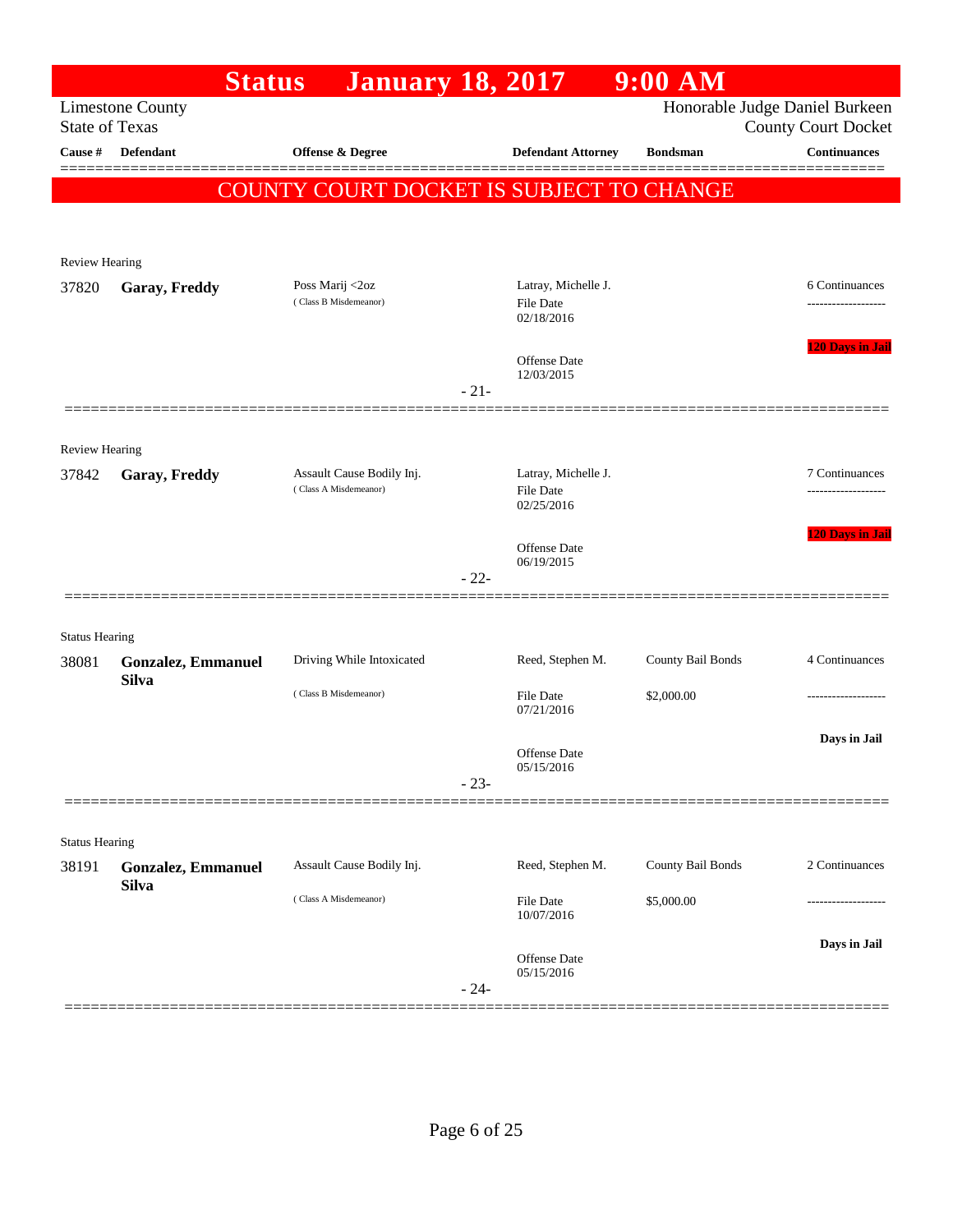|                       |                                           | <b>Status</b> | <b>January 18, 2017</b>                            |        |                                                       | $9:00$ AM         |                                                              |
|-----------------------|-------------------------------------------|---------------|----------------------------------------------------|--------|-------------------------------------------------------|-------------------|--------------------------------------------------------------|
| <b>State of Texas</b> | <b>Limestone County</b>                   |               |                                                    |        |                                                       |                   | Honorable Judge Daniel Burkeen<br><b>County Court Docket</b> |
| Cause #               | Defendant                                 |               | Offense & Degree                                   |        | <b>Defendant Attorney</b>                             | <b>Bondsman</b>   | <b>Continuances</b><br>======                                |
|                       |                                           |               | COUNTY COURT DOCKET IS SUBJECT TO CHANGE           |        |                                                       |                   |                                                              |
|                       |                                           |               |                                                    |        |                                                       |                   |                                                              |
| <b>Review Hearing</b> |                                           |               |                                                    |        |                                                       |                   |                                                              |
| 37820                 | Garay, Freddy                             |               | Poss Marij <2oz<br>(Class B Misdemeanor)           |        | Latray, Michelle J.<br><b>File Date</b><br>02/18/2016 |                   | 6 Continuances                                               |
|                       |                                           |               |                                                    | $-21-$ | <b>Offense Date</b><br>12/03/2015                     |                   | <b>120 Days in Jail</b>                                      |
|                       |                                           |               |                                                    |        |                                                       |                   |                                                              |
| <b>Review Hearing</b> |                                           |               |                                                    |        |                                                       |                   |                                                              |
| 37842                 | Garay, Freddy                             |               | Assault Cause Bodily Inj.<br>(Class A Misdemeanor) |        | Latray, Michelle J.<br><b>File Date</b><br>02/25/2016 |                   | 7 Continuances<br>.                                          |
|                       |                                           |               |                                                    |        |                                                       |                   | <b>120 Days in Jail</b>                                      |
|                       |                                           |               |                                                    |        | Offense Date<br>06/19/2015                            |                   |                                                              |
|                       |                                           |               |                                                    | $-22-$ |                                                       |                   |                                                              |
| <b>Status Hearing</b> |                                           |               |                                                    |        |                                                       |                   |                                                              |
| 38081                 | <b>Gonzalez, Emmanuel</b>                 |               | Driving While Intoxicated                          |        | Reed, Stephen M.                                      | County Bail Bonds | 4 Continuances                                               |
|                       | <b>Silva</b>                              |               | (Class B Misdemeanor)                              |        | <b>File Date</b><br>07/21/2016                        | \$2,000.00        |                                                              |
|                       |                                           |               |                                                    |        | <b>Offense</b> Date                                   |                   | Days in Jail                                                 |
|                       |                                           |               |                                                    | $-23-$ | 05/15/2016                                            |                   |                                                              |
|                       |                                           |               |                                                    |        |                                                       |                   |                                                              |
| <b>Status Hearing</b> |                                           |               |                                                    |        |                                                       |                   |                                                              |
| 38191                 | <b>Gonzalez, Emmanuel</b><br><b>Silva</b> |               | Assault Cause Bodily Inj.                          |        | Reed, Stephen M.                                      | County Bail Bonds | 2 Continuances                                               |
|                       |                                           |               | (Class A Misdemeanor)                              |        | File Date<br>10/07/2016                               | \$5,000.00        |                                                              |
|                       |                                           |               |                                                    |        |                                                       |                   | Days in Jail                                                 |
|                       |                                           |               |                                                    | $-24-$ | Offense Date<br>05/15/2016                            |                   |                                                              |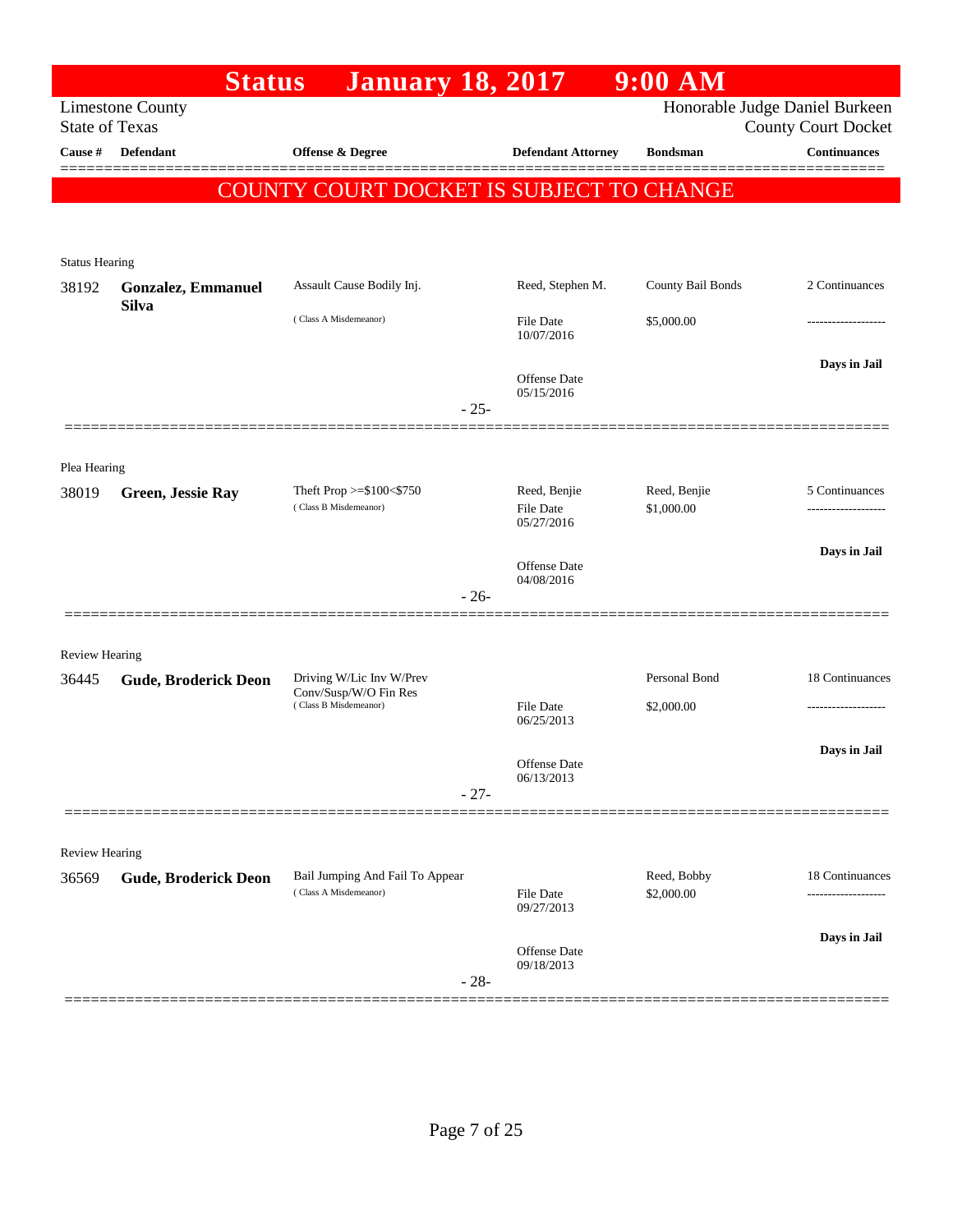|                       | <b>Status</b>                                    | <b>January 18, 2017</b>                                  |                                   | $9:00$ AM                 |                                                              |
|-----------------------|--------------------------------------------------|----------------------------------------------------------|-----------------------------------|---------------------------|--------------------------------------------------------------|
|                       | <b>Limestone County</b><br><b>State of Texas</b> |                                                          |                                   |                           | Honorable Judge Daniel Burkeen<br><b>County Court Docket</b> |
| Cause #               | <b>Defendant</b>                                 | Offense & Degree                                         | <b>Defendant Attorney</b>         | <b>Bondsman</b>           | <b>Continuances</b>                                          |
|                       |                                                  | COUNTY COURT DOCKET IS SUBJECT TO CHANGE                 |                                   |                           |                                                              |
|                       |                                                  |                                                          |                                   |                           |                                                              |
| <b>Status Hearing</b> |                                                  |                                                          |                                   |                           |                                                              |
| 38192                 | <b>Gonzalez, Emmanuel</b>                        | Assault Cause Bodily Inj.                                | Reed, Stephen M.                  | County Bail Bonds         | 2 Continuances                                               |
|                       | <b>Silva</b>                                     | (Class A Misdemeanor)                                    | File Date<br>10/07/2016           | \$5,000.00                | .                                                            |
|                       |                                                  |                                                          | <b>Offense Date</b><br>05/15/2016 |                           | Days in Jail                                                 |
|                       |                                                  | $-25-$                                                   |                                   |                           |                                                              |
| Plea Hearing          |                                                  |                                                          |                                   |                           |                                                              |
| 38019                 | <b>Green, Jessie Ray</b>                         | Theft Prop $>= $100 < $750$<br>(Class B Misdemeanor)     | Reed, Benjie                      | Reed, Benjie              | 5 Continuances                                               |
|                       |                                                  |                                                          | <b>File Date</b><br>05/27/2016    | \$1,000.00                |                                                              |
|                       |                                                  |                                                          | <b>Offense Date</b>               |                           | Days in Jail                                                 |
|                       |                                                  | $-26-$                                                   | 04/08/2016                        |                           |                                                              |
|                       |                                                  |                                                          |                                   |                           |                                                              |
| <b>Review Hearing</b> |                                                  | Driving W/Lic Inv W/Prev                                 |                                   | Personal Bond             | 18 Continuances                                              |
| 36445                 | <b>Gude, Broderick Deon</b>                      | Conv/Susp/W/O Fin Res<br>(Class B Misdemeanor)           | <b>File Date</b>                  | \$2,000.00                |                                                              |
|                       |                                                  |                                                          | 06/25/2013                        |                           |                                                              |
|                       |                                                  |                                                          | Offense Date<br>06/13/2013        |                           | Days in Jail                                                 |
|                       |                                                  | $-27-$                                                   |                                   |                           |                                                              |
| <b>Review Hearing</b> |                                                  |                                                          |                                   |                           |                                                              |
| 36569                 | <b>Gude, Broderick Deon</b>                      | Bail Jumping And Fail To Appear<br>(Class A Misdemeanor) | File Date<br>09/27/2013           | Reed, Bobby<br>\$2,000.00 | 18 Continuances<br>-----------------                         |
|                       |                                                  |                                                          |                                   |                           | Days in Jail                                                 |
|                       |                                                  | $-28-$                                                   | Offense Date<br>09/18/2013        |                           |                                                              |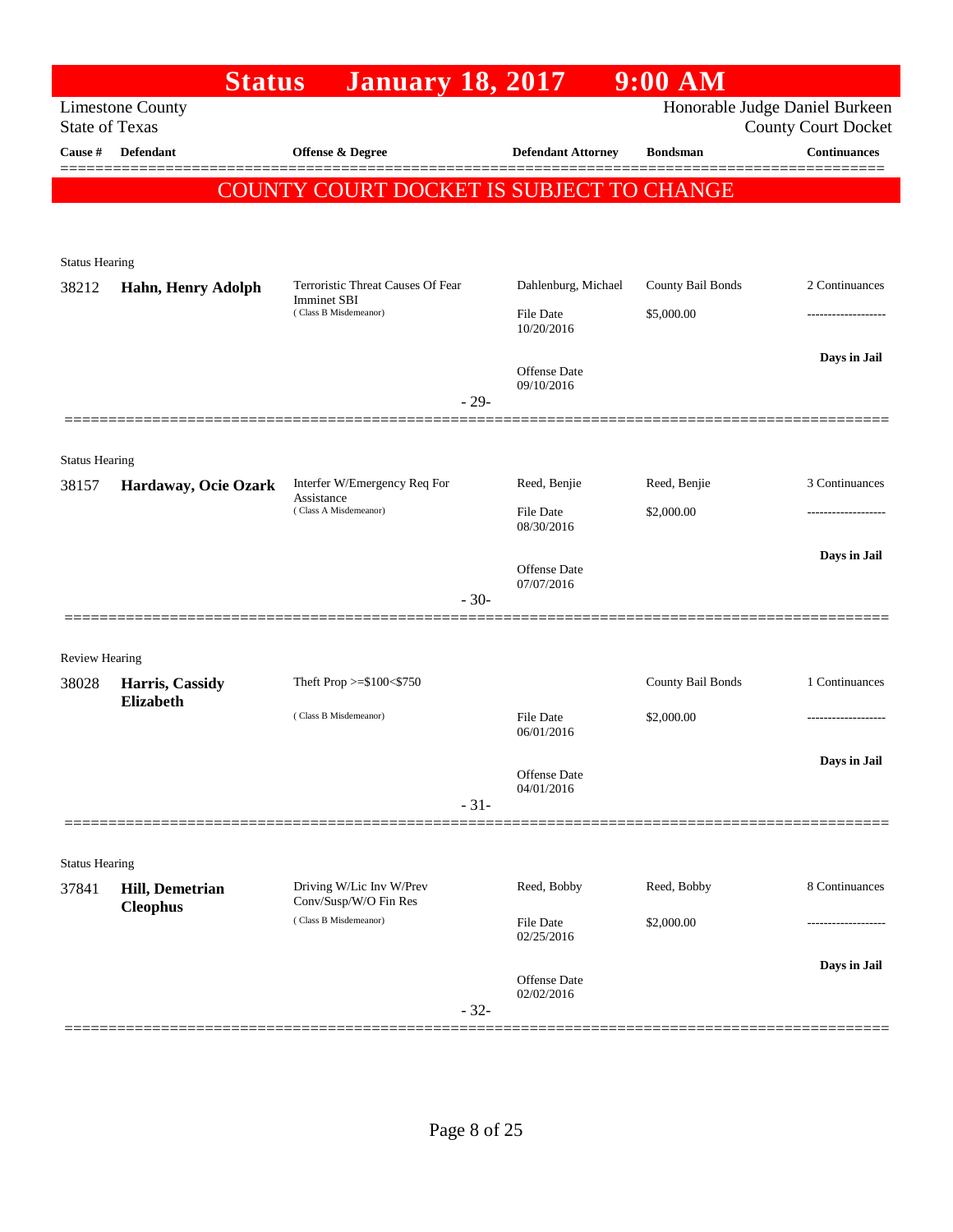|                                | <b>Status</b>                       | <b>January 18, 2017</b>                        |                                | $9:00$ AM         |                                                              |
|--------------------------------|-------------------------------------|------------------------------------------------|--------------------------------|-------------------|--------------------------------------------------------------|
| <b>State of Texas</b>          | <b>Limestone County</b>             |                                                |                                |                   | Honorable Judge Daniel Burkeen<br><b>County Court Docket</b> |
| Cause #                        | <b>Defendant</b>                    | <b>Offense &amp; Degree</b>                    | <b>Defendant Attorney</b>      | <b>Bondsman</b>   | <b>Continuances</b>                                          |
|                                |                                     | COUNTY COURT DOCKET IS SUBJECT TO CHANGE       |                                |                   |                                                              |
|                                |                                     |                                                |                                |                   |                                                              |
|                                |                                     |                                                |                                |                   |                                                              |
| <b>Status Hearing</b><br>38212 | Hahn, Henry Adolph                  | Terroristic Threat Causes Of Fear              | Dahlenburg, Michael            | County Bail Bonds | 2 Continuances                                               |
|                                |                                     | <b>Imminet SBI</b><br>(Class B Misdemeanor)    | <b>File Date</b>               | \$5,000.00        | .                                                            |
|                                |                                     |                                                | 10/20/2016                     |                   |                                                              |
|                                |                                     |                                                | Offense Date                   |                   | Days in Jail                                                 |
|                                |                                     | $-29-$                                         | 09/10/2016                     |                   |                                                              |
|                                |                                     |                                                |                                |                   |                                                              |
| <b>Status Hearing</b>          |                                     |                                                |                                |                   |                                                              |
| 38157                          | Hardaway, Ocie Ozark                | Interfer W/Emergency Req For<br>Assistance     | Reed, Benjie                   | Reed, Benjie      | 3 Continuances                                               |
|                                |                                     | (Class A Misdemeanor)                          | <b>File Date</b><br>08/30/2016 | \$2,000.00        |                                                              |
|                                |                                     |                                                |                                |                   | Days in Jail                                                 |
|                                |                                     |                                                | Offense Date<br>07/07/2016     |                   |                                                              |
|                                |                                     | $-30-$                                         |                                |                   |                                                              |
|                                |                                     |                                                |                                |                   |                                                              |
| <b>Review Hearing</b>          |                                     | Theft Prop >=\$100<\$750                       |                                | County Bail Bonds | 1 Continuances                                               |
| 38028                          | Harris, Cassidy<br><b>Elizabeth</b> |                                                |                                |                   |                                                              |
|                                |                                     | (Class B Misdemeanor)                          | <b>File Date</b><br>06/01/2016 | \$2,000.00        |                                                              |
|                                |                                     |                                                |                                |                   | Days in Jail                                                 |
|                                |                                     |                                                | Offense Date<br>04/01/2016     |                   |                                                              |
|                                |                                     | $-31-$                                         |                                |                   |                                                              |
| <b>Status Hearing</b>          |                                     |                                                |                                |                   |                                                              |
| 37841                          | <b>Hill, Demetrian</b>              | Driving W/Lic Inv W/Prev                       | Reed, Bobby                    | Reed, Bobby       | 8 Continuances                                               |
|                                | <b>Cleophus</b>                     | Conv/Susp/W/O Fin Res<br>(Class B Misdemeanor) | <b>File Date</b>               | \$2,000.00        |                                                              |
|                                |                                     |                                                | 02/25/2016                     |                   |                                                              |
|                                |                                     |                                                | Offense Date                   |                   | Days in Jail                                                 |
|                                |                                     | $-32-$                                         | 02/02/2016                     |                   |                                                              |
|                                |                                     |                                                |                                |                   |                                                              |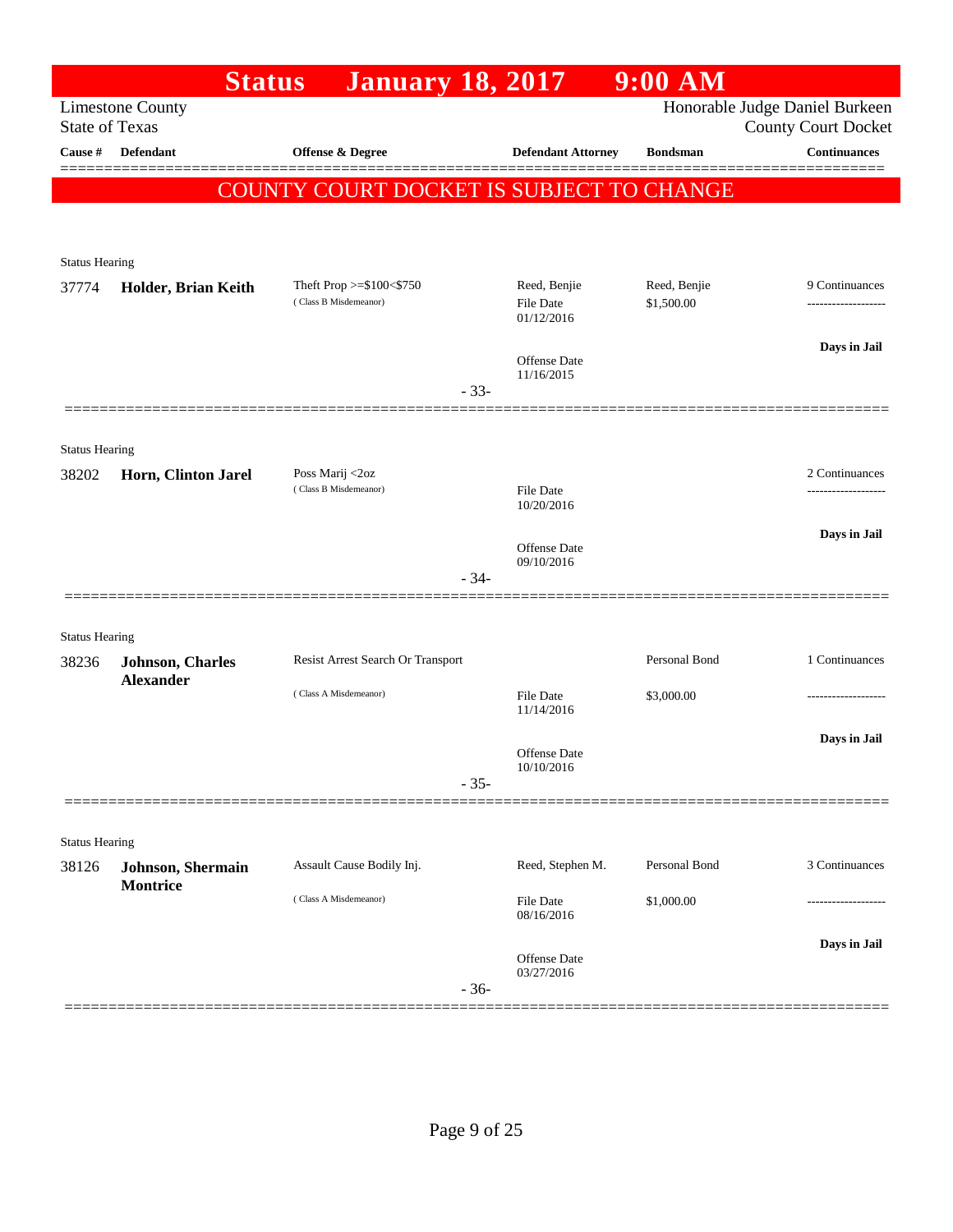|                                | <b>Status</b>            | <b>January 18, 2017</b>                           |        |                                                | $9:00$ AM                  |                                                              |
|--------------------------------|--------------------------|---------------------------------------------------|--------|------------------------------------------------|----------------------------|--------------------------------------------------------------|
| <b>State of Texas</b>          | <b>Limestone County</b>  |                                                   |        |                                                |                            | Honorable Judge Daniel Burkeen<br><b>County Court Docket</b> |
| Cause #                        | <b>Defendant</b>         | <b>Offense &amp; Degree</b>                       |        | <b>Defendant Attorney</b>                      | <b>Bondsman</b>            | <b>Continuances</b>                                          |
|                                |                          | COUNTY COURT DOCKET IS SUBJECT TO CHANGE          |        |                                                |                            |                                                              |
|                                |                          |                                                   |        |                                                |                            |                                                              |
| <b>Status Hearing</b>          |                          |                                                   |        |                                                |                            |                                                              |
| 37774                          | Holder, Brian Keith      | Theft Prop >=\$100<\$750<br>(Class B Misdemeanor) |        | Reed, Benjie<br><b>File Date</b><br>01/12/2016 | Reed, Benjie<br>\$1,500.00 | 9 Continuances                                               |
|                                |                          |                                                   |        | Offense Date<br>11/16/2015                     |                            | Days in Jail                                                 |
|                                |                          |                                                   | $-33-$ |                                                |                            |                                                              |
| <b>Status Hearing</b>          |                          |                                                   |        |                                                |                            |                                                              |
| 38202                          | Horn, Clinton Jarel      | Poss Marij <2oz<br>(Class B Misdemeanor)          |        | <b>File Date</b>                               |                            | 2 Continuances<br>                                           |
|                                |                          |                                                   |        | 10/20/2016                                     |                            |                                                              |
|                                |                          |                                                   |        | Offense Date<br>09/10/2016                     |                            | Days in Jail                                                 |
|                                |                          |                                                   | $-34-$ |                                                |                            |                                                              |
|                                |                          |                                                   |        |                                                |                            |                                                              |
| <b>Status Hearing</b><br>38236 | <b>Johnson</b> , Charles | Resist Arrest Search Or Transport                 |        |                                                | Personal Bond              | 1 Continuances                                               |
|                                | <b>Alexander</b>         | (Class A Misdemeanor)                             |        | <b>File Date</b><br>11/14/2016                 | \$3,000.00                 |                                                              |
|                                |                          |                                                   |        | Offense Date<br>10/10/2016                     |                            | Days in Jail                                                 |
|                                |                          |                                                   | $-35-$ |                                                |                            |                                                              |
| <b>Status Hearing</b>          |                          |                                                   |        |                                                |                            |                                                              |
| 38126                          | Johnson, Shermain        | Assault Cause Bodily Inj.                         |        | Reed, Stephen M.                               | Personal Bond              | 3 Continuances                                               |
|                                | <b>Montrice</b>          | (Class A Misdemeanor)                             |        | <b>File Date</b><br>08/16/2016                 | \$1,000.00                 |                                                              |
|                                |                          |                                                   | $-36-$ | Offense Date<br>03/27/2016                     |                            | Days in Jail                                                 |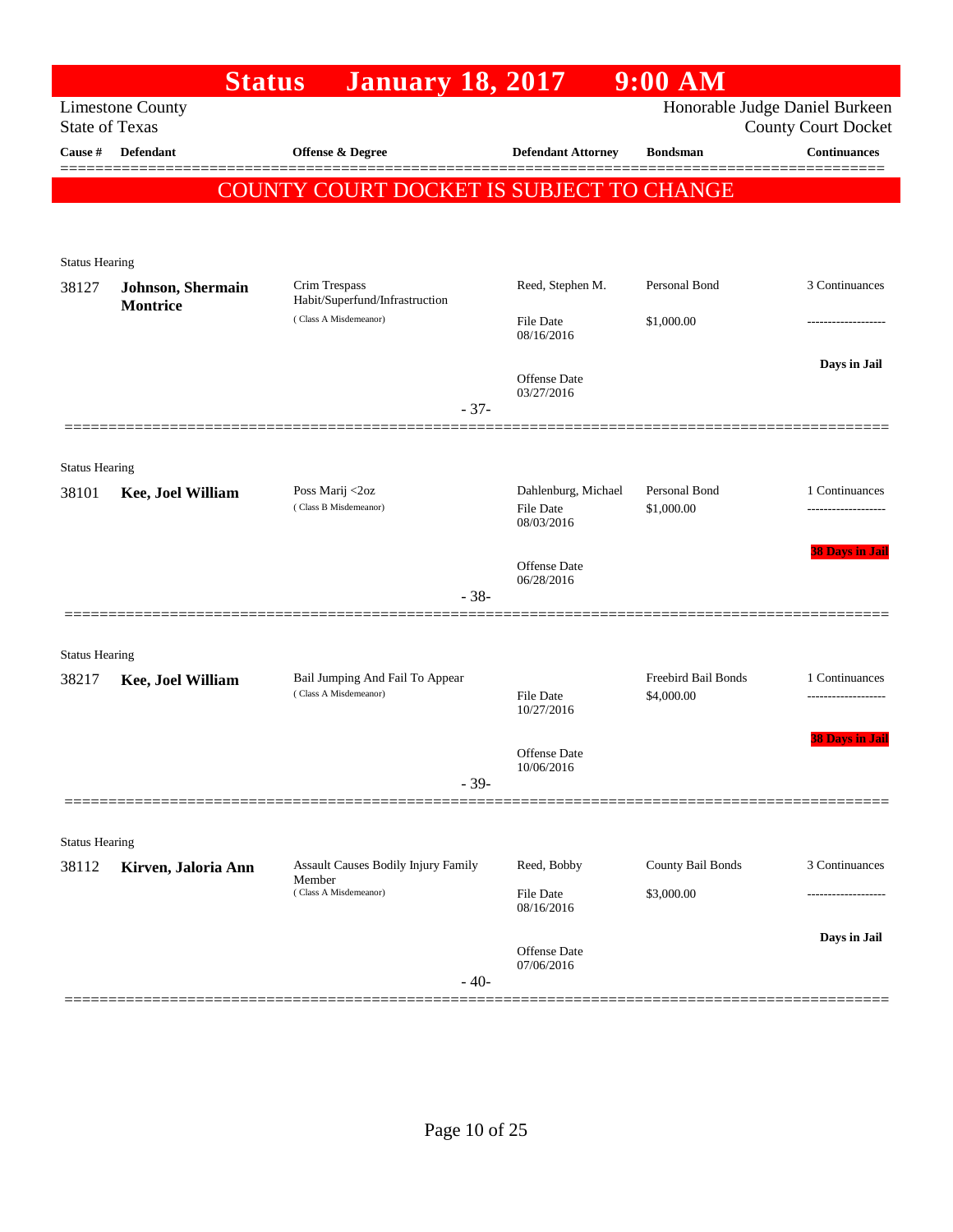|                       | <b>Status</b>                        | <b>January 18, 2017</b>                                  |                                                       | $9:00$ AM                                |                                                              |
|-----------------------|--------------------------------------|----------------------------------------------------------|-------------------------------------------------------|------------------------------------------|--------------------------------------------------------------|
| <b>State of Texas</b> | <b>Limestone County</b>              |                                                          |                                                       |                                          | Honorable Judge Daniel Burkeen<br><b>County Court Docket</b> |
| Cause #               | Defendant                            | Offense & Degree                                         | <b>Defendant Attorney</b>                             | <b>Bondsman</b>                          | <b>Continuances</b>                                          |
|                       |                                      | COUNTY COURT DOCKET IS SUBJECT TO CHANGE                 |                                                       |                                          |                                                              |
|                       |                                      |                                                          |                                                       |                                          |                                                              |
| <b>Status Hearing</b> |                                      |                                                          |                                                       |                                          |                                                              |
| 38127                 | Johnson, Shermain<br><b>Montrice</b> | Crim Trespass<br>Habit/Superfund/Infrastruction          | Reed, Stephen M.                                      | Personal Bond                            | 3 Continuances                                               |
|                       |                                      | (Class A Misdemeanor)                                    | File Date<br>08/16/2016                               | \$1,000.00                               |                                                              |
|                       |                                      | $-37-$                                                   | Offense Date<br>03/27/2016                            |                                          | Days in Jail                                                 |
|                       |                                      |                                                          |                                                       |                                          |                                                              |
| <b>Status Hearing</b> |                                      |                                                          |                                                       |                                          |                                                              |
| 38101                 | Kee, Joel William                    | Poss Marij <2oz<br>(Class B Misdemeanor)                 | Dahlenburg, Michael<br><b>File Date</b><br>08/03/2016 | Personal Bond<br>\$1,000.00              | 1 Continuances                                               |
|                       |                                      |                                                          | Offense Date<br>06/28/2016                            |                                          | <b>38 Days in Jail</b>                                       |
|                       |                                      | $-38-$                                                   |                                                       |                                          |                                                              |
| <b>Status Hearing</b> |                                      |                                                          |                                                       |                                          |                                                              |
| 38217                 | Kee, Joel William                    | Bail Jumping And Fail To Appear<br>(Class A Misdemeanor) | <b>File Date</b><br>10/27/2016                        | <b>Freebird Bail Bonds</b><br>\$4,000.00 | 1 Continuances                                               |
|                       |                                      | $-39-$                                                   | Offense Date<br>10/06/2016                            |                                          | <b>38 Days in Jail</b>                                       |
|                       |                                      |                                                          |                                                       |                                          |                                                              |
| <b>Status Hearing</b> |                                      |                                                          |                                                       |                                          |                                                              |
| 38112                 | Kirven, Jaloria Ann                  | Assault Causes Bodily Injury Family<br>Member            | Reed, Bobby                                           | County Bail Bonds                        | 3 Continuances                                               |
|                       |                                      | (Class A Misdemeanor)                                    | File Date<br>08/16/2016                               | \$3,000.00                               |                                                              |
|                       |                                      | $-40-$                                                   | <b>Offense Date</b><br>07/06/2016                     |                                          | Days in Jail                                                 |
|                       |                                      |                                                          |                                                       |                                          |                                                              |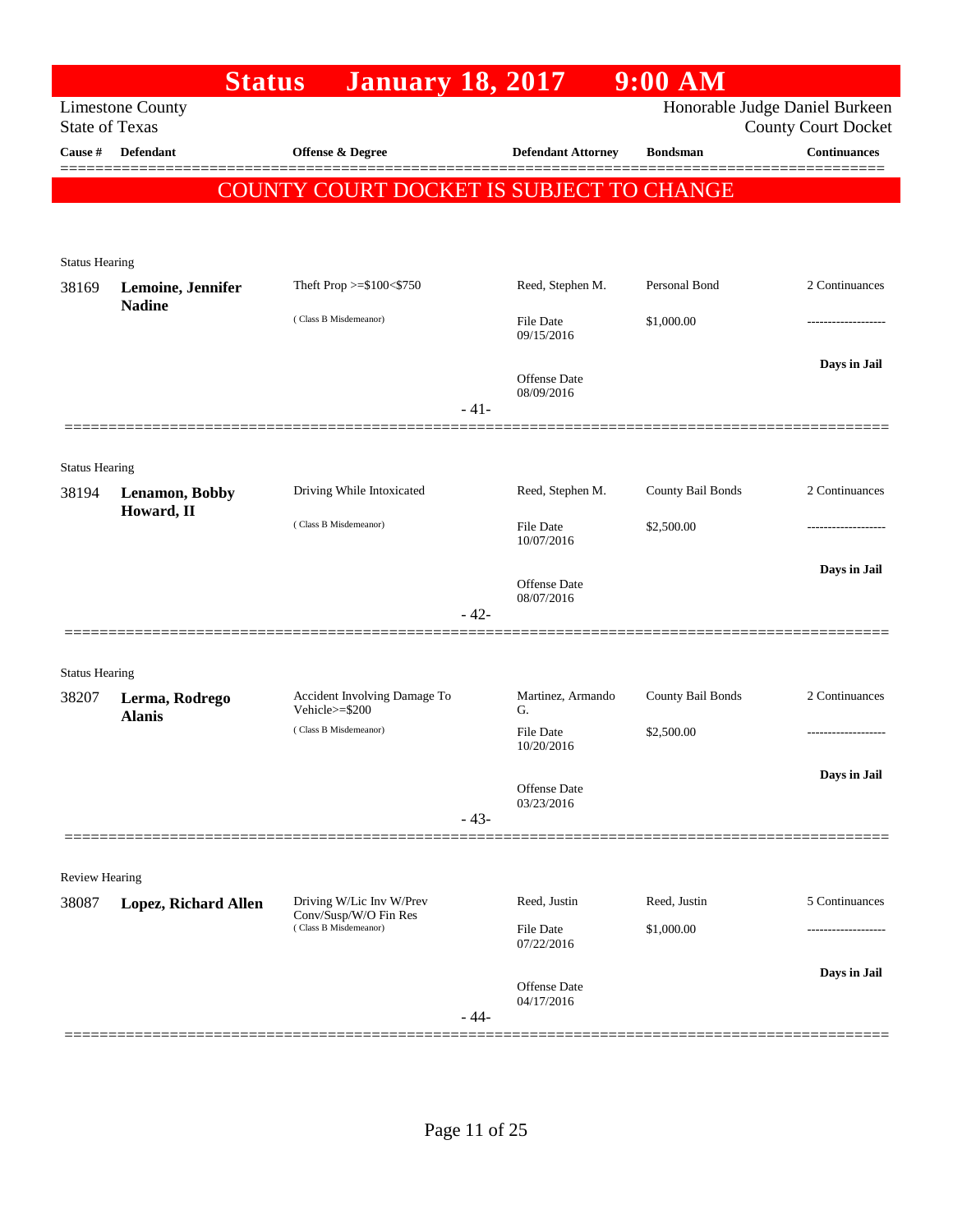| <b>Limestone County</b><br><b>State of Texas</b> |                                                                                                                                       |                                                                               |                                              | Honorable Judge Daniel Burkeen                                                                                                                                                                                                                                                                                                                                                                                                                       |
|--------------------------------------------------|---------------------------------------------------------------------------------------------------------------------------------------|-------------------------------------------------------------------------------|----------------------------------------------|------------------------------------------------------------------------------------------------------------------------------------------------------------------------------------------------------------------------------------------------------------------------------------------------------------------------------------------------------------------------------------------------------------------------------------------------------|
|                                                  |                                                                                                                                       |                                                                               |                                              | <b>County Court Docket</b>                                                                                                                                                                                                                                                                                                                                                                                                                           |
| <b>Defendant</b>                                 | <b>Offense &amp; Degree</b>                                                                                                           |                                                                               | <b>Defendant Attorney</b><br><b>Bondsman</b> | <b>Continuances</b>                                                                                                                                                                                                                                                                                                                                                                                                                                  |
|                                                  | COUNTY COURT DOCKET IS SUBJECT TO CHANGE                                                                                              |                                                                               |                                              |                                                                                                                                                                                                                                                                                                                                                                                                                                                      |
|                                                  |                                                                                                                                       |                                                                               |                                              |                                                                                                                                                                                                                                                                                                                                                                                                                                                      |
|                                                  |                                                                                                                                       |                                                                               |                                              |                                                                                                                                                                                                                                                                                                                                                                                                                                                      |
|                                                  |                                                                                                                                       |                                                                               | Personal Bond                                | 2 Continuances                                                                                                                                                                                                                                                                                                                                                                                                                                       |
| <b>Nadine</b>                                    |                                                                                                                                       |                                                                               |                                              |                                                                                                                                                                                                                                                                                                                                                                                                                                                      |
|                                                  |                                                                                                                                       |                                                                               |                                              |                                                                                                                                                                                                                                                                                                                                                                                                                                                      |
|                                                  |                                                                                                                                       |                                                                               |                                              | Days in Jail                                                                                                                                                                                                                                                                                                                                                                                                                                         |
|                                                  |                                                                                                                                       |                                                                               |                                              |                                                                                                                                                                                                                                                                                                                                                                                                                                                      |
|                                                  |                                                                                                                                       |                                                                               |                                              |                                                                                                                                                                                                                                                                                                                                                                                                                                                      |
|                                                  |                                                                                                                                       |                                                                               |                                              |                                                                                                                                                                                                                                                                                                                                                                                                                                                      |
| <b>Lenamon</b> , Bobby                           | Driving While Intoxicated                                                                                                             |                                                                               |                                              | 2 Continuances                                                                                                                                                                                                                                                                                                                                                                                                                                       |
| Howard, II                                       | (Class B Misdemeanor)                                                                                                                 |                                                                               |                                              |                                                                                                                                                                                                                                                                                                                                                                                                                                                      |
|                                                  |                                                                                                                                       |                                                                               |                                              |                                                                                                                                                                                                                                                                                                                                                                                                                                                      |
|                                                  |                                                                                                                                       |                                                                               |                                              | Days in Jail                                                                                                                                                                                                                                                                                                                                                                                                                                         |
|                                                  |                                                                                                                                       |                                                                               |                                              |                                                                                                                                                                                                                                                                                                                                                                                                                                                      |
|                                                  |                                                                                                                                       |                                                                               |                                              |                                                                                                                                                                                                                                                                                                                                                                                                                                                      |
| <b>Status Hearing</b>                            |                                                                                                                                       |                                                                               |                                              |                                                                                                                                                                                                                                                                                                                                                                                                                                                      |
| Lerma, Rodrego                                   | Accident Involving Damage To<br>Vehicle>=\$200                                                                                        | G.                                                                            |                                              | 2 Continuances                                                                                                                                                                                                                                                                                                                                                                                                                                       |
|                                                  | (Class B Misdemeanor)                                                                                                                 |                                                                               | \$2,500.00                                   |                                                                                                                                                                                                                                                                                                                                                                                                                                                      |
|                                                  |                                                                                                                                       |                                                                               |                                              | Days in Jail                                                                                                                                                                                                                                                                                                                                                                                                                                         |
|                                                  |                                                                                                                                       |                                                                               |                                              |                                                                                                                                                                                                                                                                                                                                                                                                                                                      |
|                                                  |                                                                                                                                       |                                                                               |                                              |                                                                                                                                                                                                                                                                                                                                                                                                                                                      |
|                                                  |                                                                                                                                       |                                                                               |                                              |                                                                                                                                                                                                                                                                                                                                                                                                                                                      |
|                                                  |                                                                                                                                       |                                                                               |                                              | 5 Continuances                                                                                                                                                                                                                                                                                                                                                                                                                                       |
|                                                  | Conv/Susp/W/O Fin Res<br>(Class B Misdemeanor)                                                                                        |                                                                               |                                              |                                                                                                                                                                                                                                                                                                                                                                                                                                                      |
|                                                  |                                                                                                                                       |                                                                               |                                              |                                                                                                                                                                                                                                                                                                                                                                                                                                                      |
|                                                  |                                                                                                                                       |                                                                               |                                              | Days in Jail                                                                                                                                                                                                                                                                                                                                                                                                                                         |
|                                                  |                                                                                                                                       |                                                                               |                                              |                                                                                                                                                                                                                                                                                                                                                                                                                                                      |
|                                                  | <b>Status Hearing</b><br>Lemoine, Jennifer<br><b>Status Hearing</b><br><b>Alanis</b><br><b>Review Hearing</b><br>Lopez, Richard Allen | Theft Prop >=\$100<\$750<br>(Class B Misdemeanor)<br>Driving W/Lic Inv W/Prev | $-41-$<br>$-42-$<br>$-43-$<br>$-44-$         | Reed, Stephen M.<br><b>File Date</b><br>\$1,000.00<br>09/15/2016<br>Offense Date<br>08/09/2016<br>County Bail Bonds<br>Reed, Stephen M.<br><b>File Date</b><br>\$2,500.00<br>10/07/2016<br>Offense Date<br>08/07/2016<br>County Bail Bonds<br>Martinez, Armando<br><b>File Date</b><br>10/20/2016<br>Offense Date<br>03/23/2016<br>Reed, Justin<br>Reed, Justin<br><b>File Date</b><br>\$1,000.00<br>07/22/2016<br><b>Offense Date</b><br>04/17/2016 |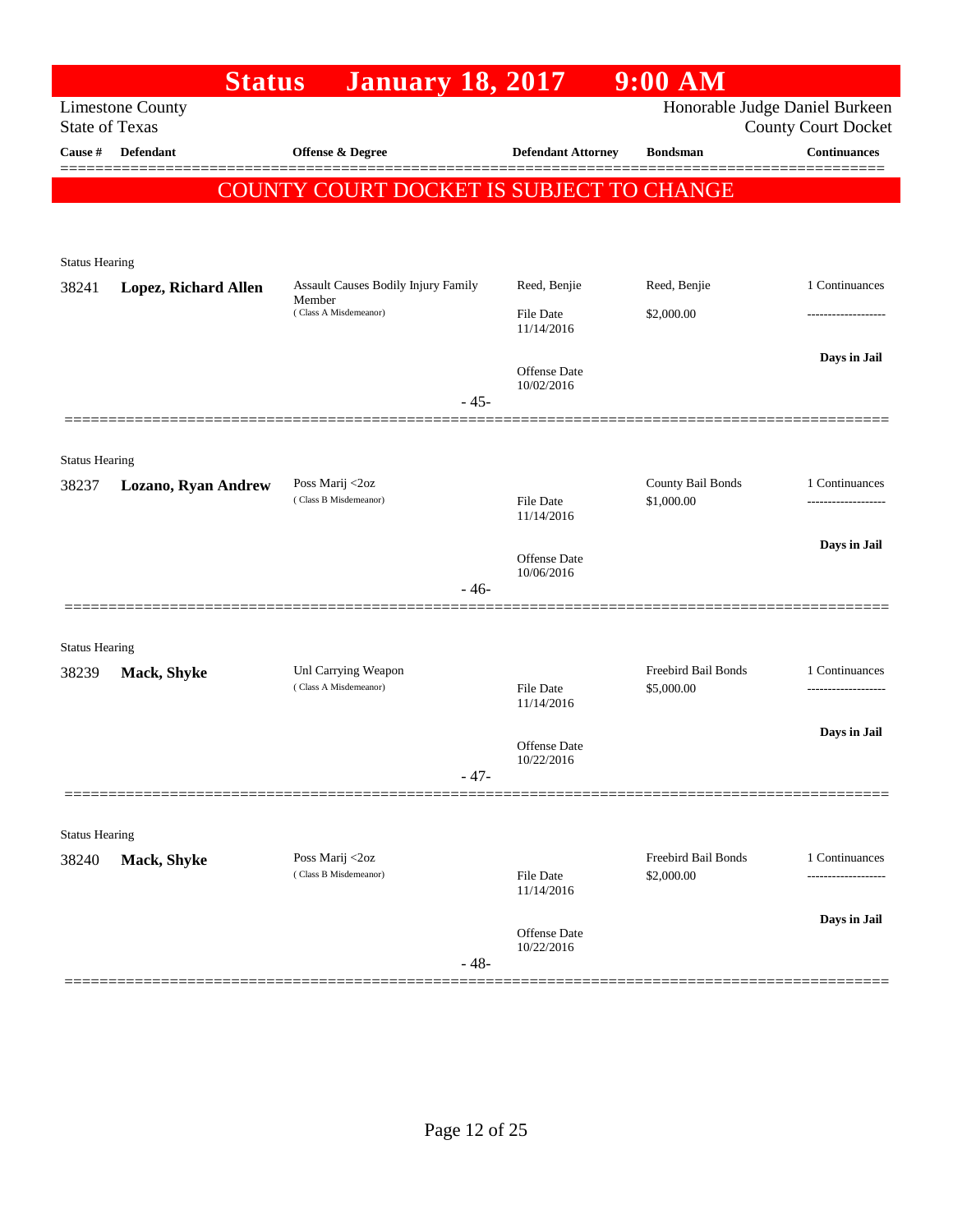|                                | <b>Status</b>           | <b>January 18, 2017</b>                       |                                | $9:00$ AM                                |                            |
|--------------------------------|-------------------------|-----------------------------------------------|--------------------------------|------------------------------------------|----------------------------|
| <b>State of Texas</b>          | <b>Limestone County</b> |                                               |                                | Honorable Judge Daniel Burkeen           | <b>County Court Docket</b> |
| Cause #                        | <b>Defendant</b>        | Offense & Degree                              | <b>Defendant Attorney</b>      | <b>Bondsman</b>                          | <b>Continuances</b>        |
|                                |                         | COUNTY COURT DOCKET IS SUBJECT TO CHANGE      |                                |                                          |                            |
|                                |                         |                                               |                                |                                          |                            |
|                                |                         |                                               |                                |                                          |                            |
| <b>Status Hearing</b>          |                         |                                               | Reed, Benjie                   |                                          |                            |
| 38241                          | Lopez, Richard Allen    | Assault Causes Bodily Injury Family<br>Member |                                | Reed, Benjie                             | 1 Continuances             |
|                                |                         | (Class A Misdemeanor)                         | <b>File Date</b><br>11/14/2016 | \$2,000.00                               |                            |
|                                |                         |                                               | Offense Date                   |                                          | Days in Jail               |
|                                |                         |                                               | 10/02/2016                     |                                          |                            |
|                                |                         | $-45-$                                        |                                |                                          |                            |
|                                |                         |                                               |                                |                                          |                            |
| <b>Status Hearing</b><br>38237 | Lozano, Ryan Andrew     | Poss Marij <2oz                               |                                | County Bail Bonds                        | 1 Continuances             |
|                                |                         | (Class B Misdemeanor)                         | <b>File Date</b><br>11/14/2016 | \$1,000.00                               |                            |
|                                |                         |                                               |                                |                                          | Days in Jail               |
|                                |                         |                                               | Offense Date<br>10/06/2016     |                                          |                            |
|                                |                         | $-46-$                                        |                                |                                          |                            |
|                                |                         |                                               |                                |                                          |                            |
| <b>Status Hearing</b>          |                         |                                               |                                |                                          |                            |
| 38239                          | Mack, Shyke             | Unl Carrying Weapon<br>(Class A Misdemeanor)  | File Date                      | <b>Freebird Bail Bonds</b><br>\$5,000.00 | 1 Continuances             |
|                                |                         |                                               | 11/14/2016                     |                                          |                            |
|                                |                         |                                               | <b>Offense</b> Date            |                                          | Days in Jail               |
|                                |                         | $-47-$                                        | 10/22/2016                     |                                          |                            |
|                                |                         |                                               |                                |                                          |                            |
| <b>Status Hearing</b>          |                         |                                               |                                |                                          |                            |
| 38240                          | Mack, Shyke             | Poss Marij <2oz<br>(Class B Misdemeanor)      | File Date                      | <b>Freebird Bail Bonds</b>               | 1 Continuances             |
|                                |                         |                                               | 11/14/2016                     | \$2,000.00                               | .                          |
|                                |                         |                                               | Offense Date                   |                                          | Days in Jail               |
|                                |                         | $-48-$                                        | 10/22/2016                     |                                          |                            |
|                                |                         |                                               |                                |                                          |                            |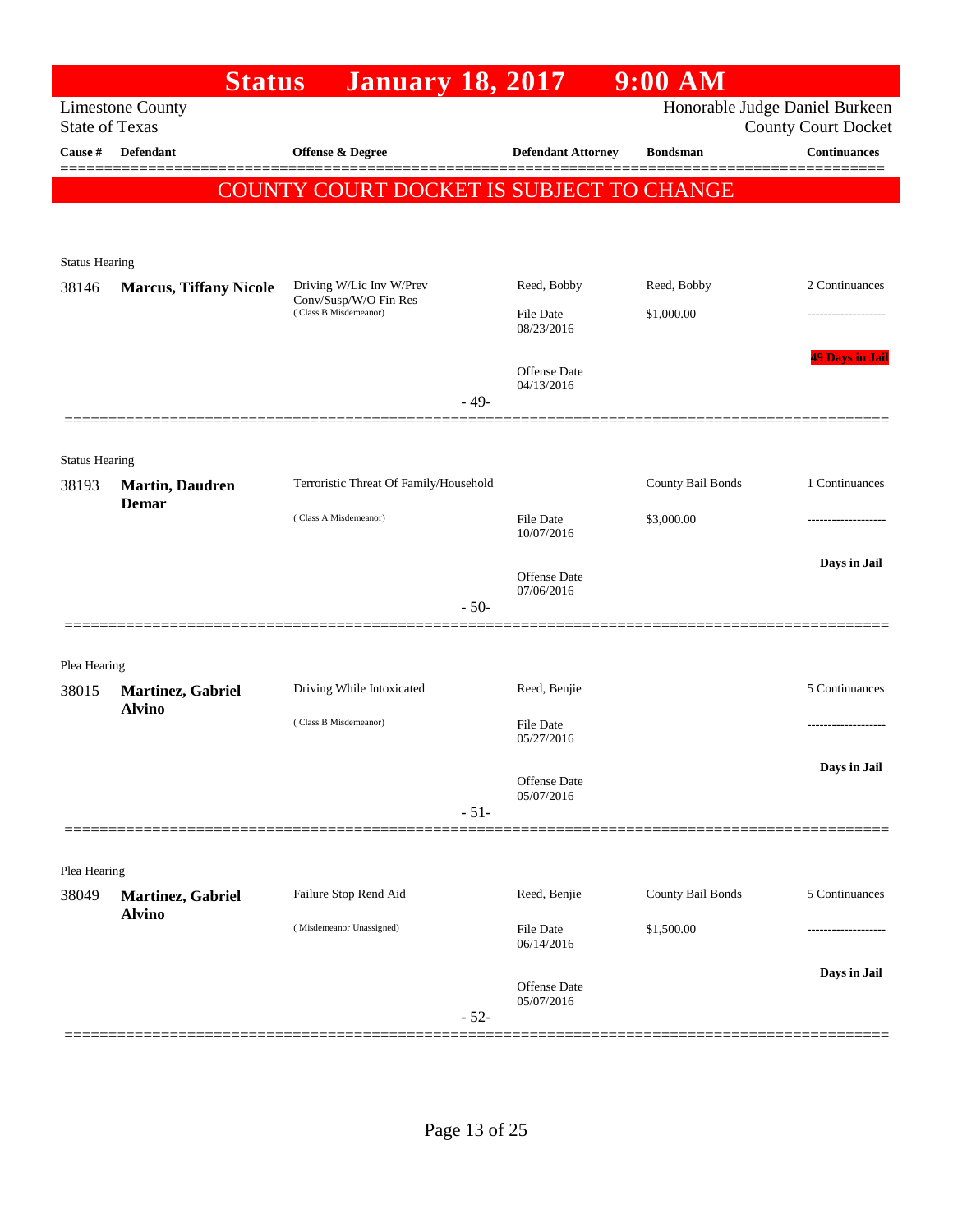|                                | <b>Status</b>                 | <b>January 18, 2017</b>                        |                           | $9:00$ AM         |                                                              |
|--------------------------------|-------------------------------|------------------------------------------------|---------------------------|-------------------|--------------------------------------------------------------|
| <b>State of Texas</b>          | <b>Limestone County</b>       |                                                |                           |                   | Honorable Judge Daniel Burkeen<br><b>County Court Docket</b> |
| Cause #                        | <b>Defendant</b>              | Offense & Degree                               | <b>Defendant Attorney</b> | <b>Bondsman</b>   | <b>Continuances</b>                                          |
|                                |                               | COUNTY COURT DOCKET IS SUBJECT TO CHANGE       |                           |                   |                                                              |
|                                |                               |                                                |                           |                   |                                                              |
|                                |                               |                                                |                           |                   |                                                              |
| <b>Status Hearing</b><br>38146 | <b>Marcus, Tiffany Nicole</b> | Driving W/Lic Inv W/Prev                       | Reed, Bobby               | Reed, Bobby       | 2 Continuances                                               |
|                                |                               | Conv/Susp/W/O Fin Res<br>(Class B Misdemeanor) | File Date                 | \$1,000.00        |                                                              |
|                                |                               |                                                | 08/23/2016                |                   |                                                              |
|                                |                               |                                                | <b>Offense</b> Date       |                   | <b>49 Days in Jail</b>                                       |
|                                |                               | $-49-$                                         | 04/13/2016                |                   |                                                              |
|                                |                               |                                                |                           |                   |                                                              |
| <b>Status Hearing</b>          |                               |                                                |                           |                   |                                                              |
| 38193                          | <b>Martin, Daudren</b>        | Terroristic Threat Of Family/Household         |                           | County Bail Bonds | 1 Continuances                                               |
|                                | <b>Demar</b>                  | (Class A Misdemeanor)                          | File Date                 | \$3,000.00        |                                                              |
|                                |                               |                                                | 10/07/2016                |                   |                                                              |
|                                |                               |                                                | <b>Offense Date</b>       |                   | Days in Jail                                                 |
|                                |                               | $-50-$                                         | 07/06/2016                |                   |                                                              |
|                                |                               |                                                |                           |                   |                                                              |
| Plea Hearing                   |                               |                                                |                           |                   |                                                              |
| 38015                          | Martinez, Gabriel             | Driving While Intoxicated                      | Reed, Benjie              |                   | 5 Continuances                                               |
|                                | <b>Alvino</b>                 | (Class B Misdemeanor)                          | File Date                 |                   |                                                              |
|                                |                               |                                                | 05/27/2016                |                   |                                                              |
|                                |                               |                                                | Offense Date              |                   | Days in Jail                                                 |
|                                |                               | $-51-$                                         | 05/07/2016                |                   |                                                              |
|                                |                               |                                                |                           |                   |                                                              |
| Plea Hearing                   |                               |                                                |                           |                   |                                                              |
| 38049                          | Martinez, Gabriel             | Failure Stop Rend Aid                          | Reed, Benjie              | County Bail Bonds | 5 Continuances                                               |
|                                | <b>Alvino</b>                 | (Misdemeanor Unassigned)                       | File Date                 | \$1,500.00        |                                                              |
|                                |                               |                                                | 06/14/2016                |                   |                                                              |
|                                |                               |                                                | Offense Date              |                   | Days in Jail                                                 |
|                                |                               | $-52-$                                         | 05/07/2016                |                   |                                                              |
|                                |                               |                                                |                           |                   |                                                              |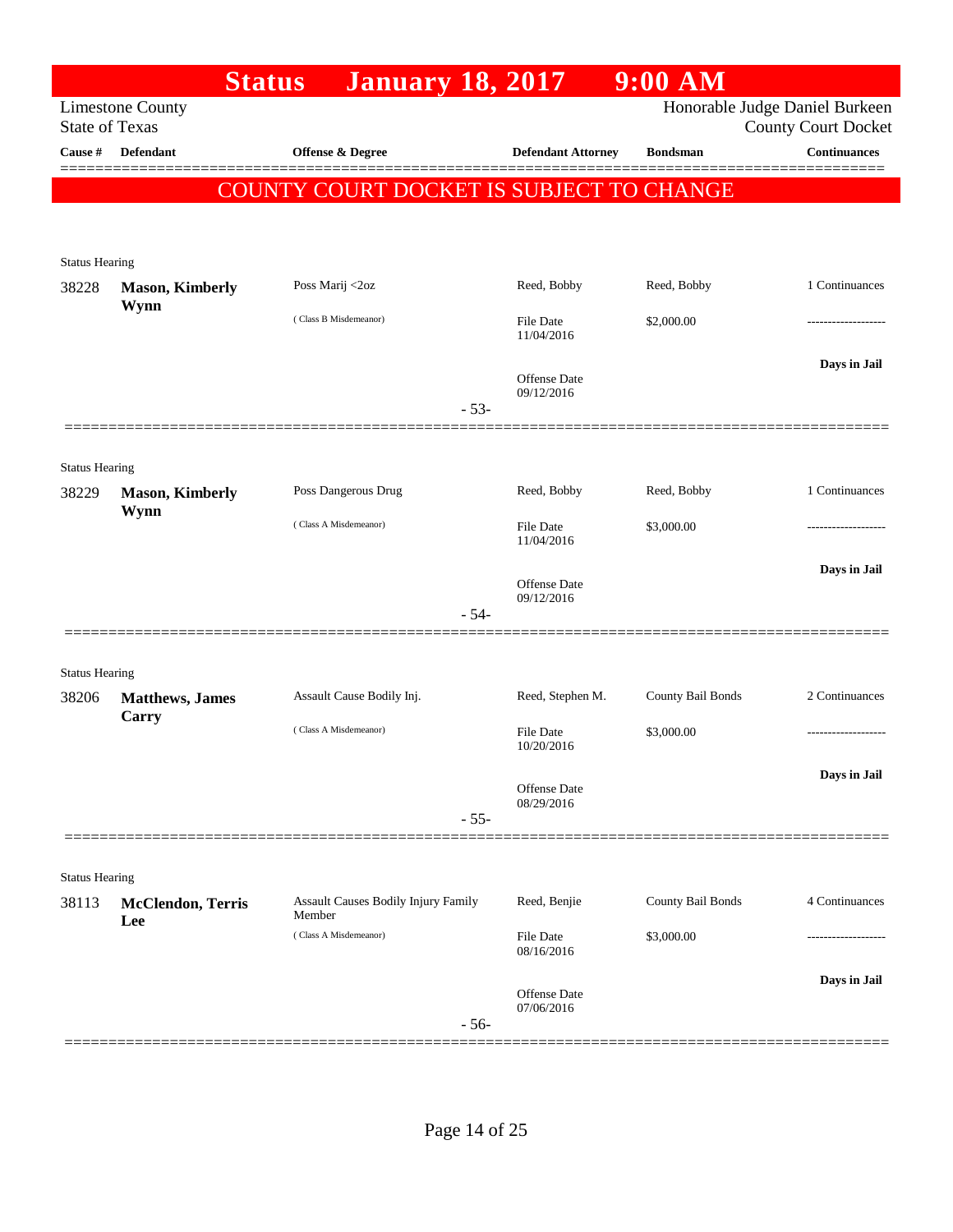|                                |                                 | <b>January 18, 2017</b><br><b>Status</b>             |                            | $9:00$ AM         |                                                              |
|--------------------------------|---------------------------------|------------------------------------------------------|----------------------------|-------------------|--------------------------------------------------------------|
| <b>State of Texas</b>          | <b>Limestone County</b>         |                                                      |                            |                   | Honorable Judge Daniel Burkeen<br><b>County Court Docket</b> |
| Cause #                        | <b>Defendant</b>                | Offense & Degree                                     | <b>Defendant Attorney</b>  | <b>Bondsman</b>   | <b>Continuances</b>                                          |
|                                |                                 | COUNTY COURT DOCKET IS SUBJECT TO CHANGE             |                            |                   |                                                              |
|                                |                                 |                                                      |                            |                   |                                                              |
|                                |                                 |                                                      |                            |                   |                                                              |
| <b>Status Hearing</b><br>38228 | <b>Mason, Kimberly</b>          | Poss Marij <2oz                                      | Reed, Bobby                | Reed, Bobby       | 1 Continuances                                               |
|                                | Wynn                            |                                                      |                            |                   |                                                              |
|                                |                                 | (Class B Misdemeanor)                                | File Date<br>11/04/2016    | \$2,000.00        |                                                              |
|                                |                                 |                                                      |                            |                   | Days in Jail                                                 |
|                                |                                 |                                                      | Offense Date<br>09/12/2016 |                   |                                                              |
|                                |                                 |                                                      | $-53-$                     |                   |                                                              |
| <b>Status Hearing</b>          |                                 |                                                      |                            |                   |                                                              |
| 38229                          | <b>Mason, Kimberly</b>          | Poss Dangerous Drug                                  | Reed, Bobby                | Reed, Bobby       | 1 Continuances                                               |
|                                | Wynn                            | (Class A Misdemeanor)                                | File Date                  | \$3,000.00        |                                                              |
|                                |                                 |                                                      | 11/04/2016                 |                   |                                                              |
|                                |                                 |                                                      | Offense Date               |                   | Days in Jail                                                 |
|                                |                                 |                                                      | 09/12/2016<br>$-54-$       |                   |                                                              |
|                                |                                 |                                                      |                            |                   |                                                              |
| <b>Status Hearing</b>          |                                 |                                                      |                            |                   |                                                              |
| 38206                          | <b>Matthews</b> , James         | Assault Cause Bodily Inj.                            | Reed, Stephen M.           | County Bail Bonds | 2 Continuances                                               |
|                                | Carry                           | (Class A Misdemeanor)                                | File Date                  | \$3,000.00        |                                                              |
|                                |                                 |                                                      | 10/20/2016                 |                   |                                                              |
|                                |                                 |                                                      | Offense Date               |                   | Days in Jail                                                 |
|                                |                                 |                                                      | 08/29/2016<br>$-55-$       |                   |                                                              |
|                                |                                 |                                                      |                            |                   |                                                              |
| <b>Status Hearing</b>          |                                 |                                                      |                            |                   |                                                              |
| 38113                          | <b>McClendon, Terris</b><br>Lee | <b>Assault Causes Bodily Injury Family</b><br>Member | Reed, Benjie               | County Bail Bonds | 4 Continuances                                               |
|                                |                                 | (Class A Misdemeanor)                                | File Date<br>08/16/2016    | \$3,000.00        |                                                              |
|                                |                                 |                                                      |                            |                   |                                                              |
|                                |                                 |                                                      | Offense Date               |                   | Days in Jail                                                 |
|                                |                                 |                                                      | 07/06/2016<br>$-56-$       |                   |                                                              |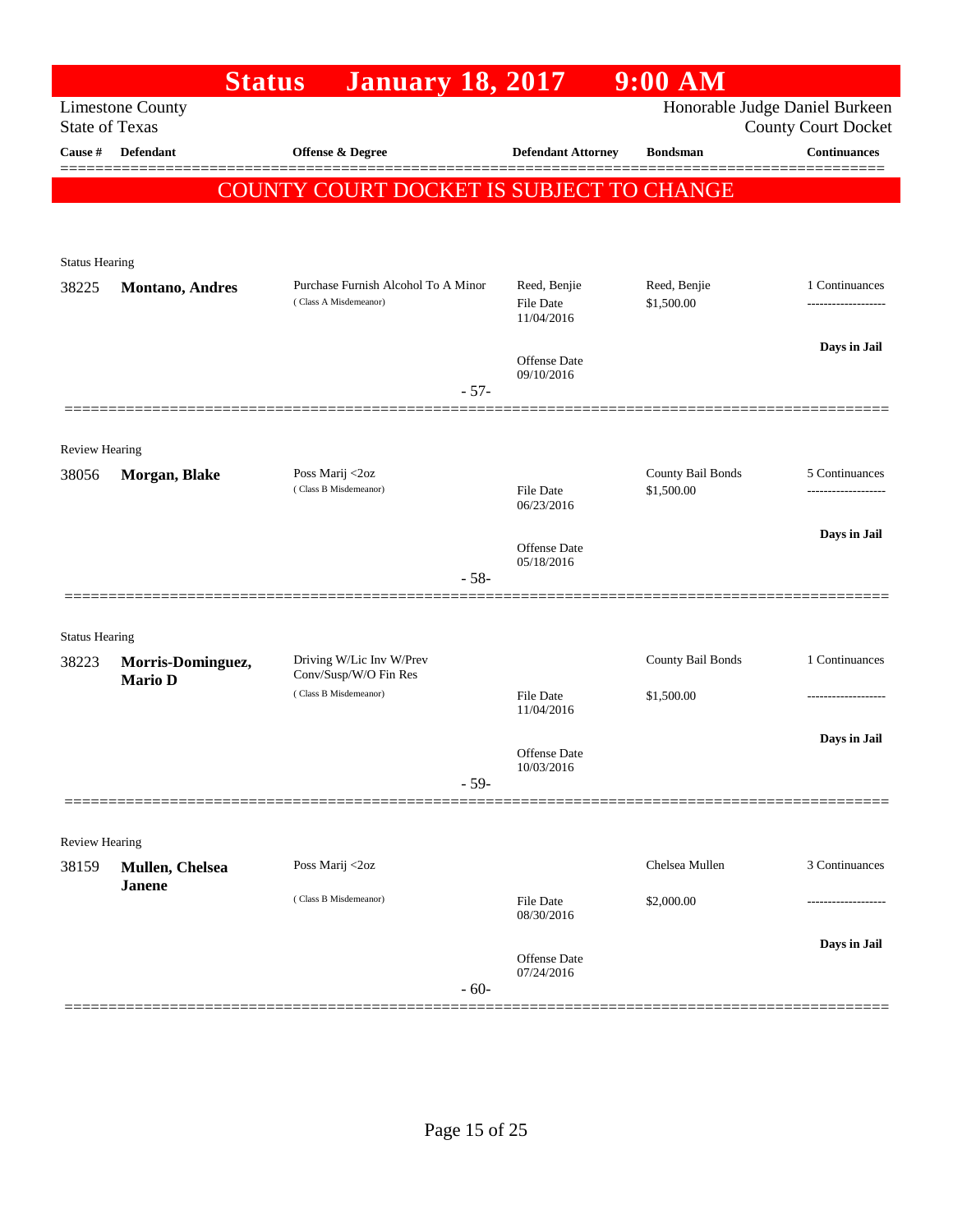|                       | <b>Status</b>                       | <b>January 18, 2017</b>                                      |                                         | $9:00$ AM                       |                                                              |
|-----------------------|-------------------------------------|--------------------------------------------------------------|-----------------------------------------|---------------------------------|--------------------------------------------------------------|
| <b>State of Texas</b> | <b>Limestone County</b>             |                                                              |                                         |                                 | Honorable Judge Daniel Burkeen<br><b>County Court Docket</b> |
| Cause #               | <b>Defendant</b>                    | <b>Offense &amp; Degree</b>                                  | <b>Defendant Attorney</b>               | <b>Bondsman</b>                 | <b>Continuances</b>                                          |
|                       |                                     | COUNTY COURT DOCKET IS SUBJECT TO CHANGE                     |                                         |                                 |                                                              |
| <b>Status Hearing</b> |                                     |                                                              |                                         |                                 |                                                              |
| 38225                 | <b>Montano</b> , Andres             | Purchase Furnish Alcohol To A Minor<br>(Class A Misdemeanor) | Reed, Benjie<br>File Date<br>11/04/2016 | Reed, Benjie<br>\$1,500.00      | 1 Continuances<br>------------------                         |
|                       |                                     | $-57-$                                                       | <b>Offense Date</b><br>09/10/2016       |                                 | Days in Jail                                                 |
|                       |                                     |                                                              |                                         |                                 |                                                              |
| Review Hearing        |                                     |                                                              |                                         |                                 |                                                              |
| 38056                 | Morgan, Blake                       | Poss Marij <2oz<br>(Class B Misdemeanor)                     | <b>File Date</b><br>06/23/2016          | County Bail Bonds<br>\$1,500.00 | 5 Continuances<br>-----------------                          |
|                       |                                     |                                                              | <b>Offense Date</b><br>05/18/2016       |                                 | Days in Jail                                                 |
|                       |                                     | $-58-$                                                       |                                         |                                 |                                                              |
| <b>Status Hearing</b> |                                     |                                                              |                                         |                                 |                                                              |
| 38223                 | Morris-Dominguez,<br><b>Mario D</b> | Driving W/Lic Inv W/Prev<br>Conv/Susp/W/O Fin Res            |                                         | County Bail Bonds               | 1 Continuances                                               |
|                       |                                     | (Class B Misdemeanor)                                        | <b>File Date</b><br>11/04/2016          | \$1,500.00                      | ------------------                                           |
|                       |                                     |                                                              | <b>Offense Date</b><br>10/03/2016       |                                 | Days in Jail                                                 |
|                       |                                     | $-59-$                                                       |                                         |                                 |                                                              |
| Review Hearing        |                                     |                                                              |                                         |                                 |                                                              |
| 38159                 | Mullen, Chelsea<br><b>Janene</b>    | Poss Marij <2oz                                              |                                         | Chelsea Mullen                  | 3 Continuances                                               |
|                       |                                     | (Class B Misdemeanor)                                        | <b>File Date</b><br>08/30/2016          | \$2,000.00                      |                                                              |
|                       |                                     | $-60-$                                                       | <b>Offense Date</b><br>07/24/2016       |                                 | Days in Jail                                                 |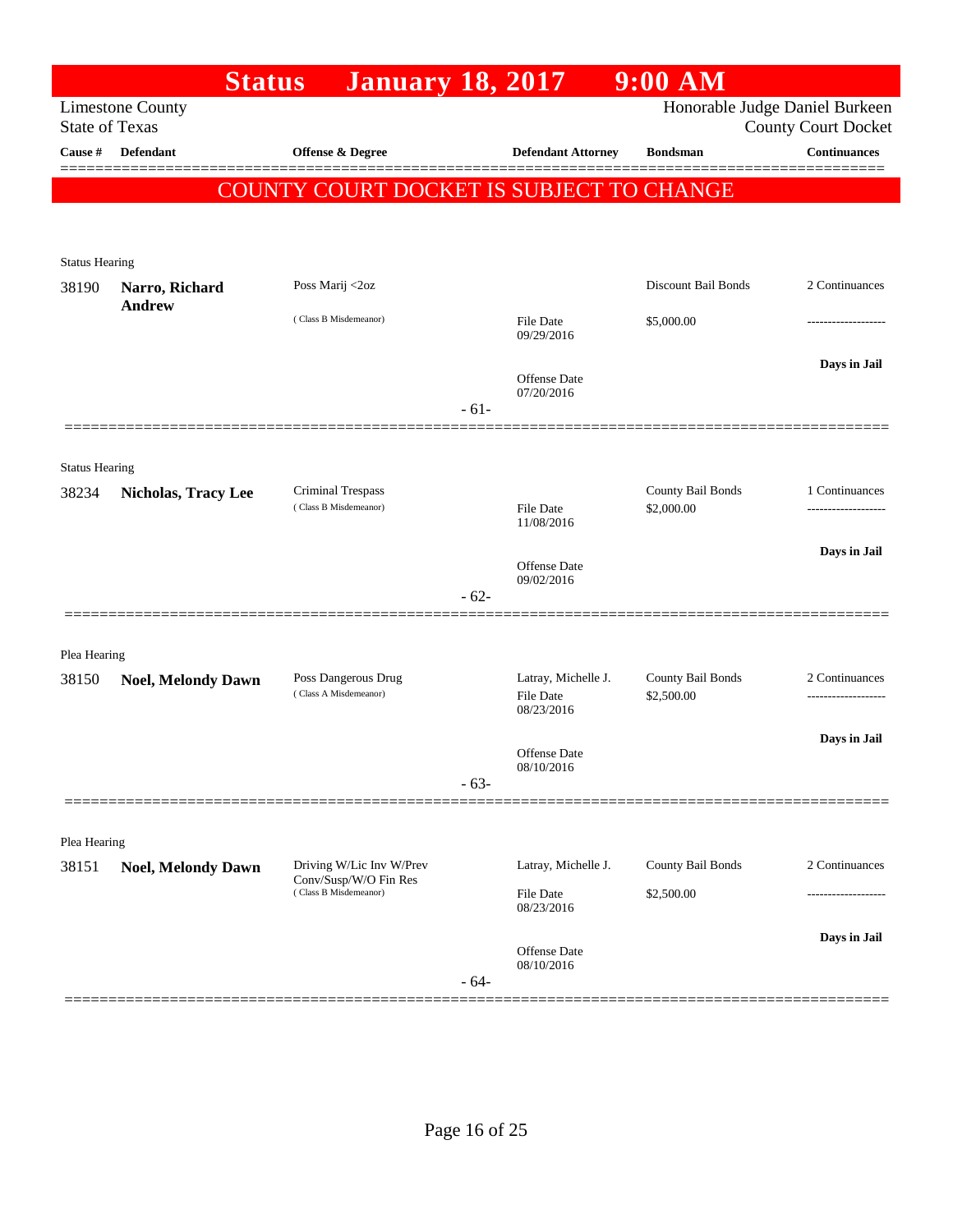|                                |                            | <b>Status</b>   | <b>January 18, 2017</b>                                                    |        |                                                | $9:00$ AM                       |                                                              |
|--------------------------------|----------------------------|-----------------|----------------------------------------------------------------------------|--------|------------------------------------------------|---------------------------------|--------------------------------------------------------------|
| <b>State of Texas</b>          | <b>Limestone County</b>    |                 |                                                                            |        |                                                |                                 | Honorable Judge Daniel Burkeen<br><b>County Court Docket</b> |
| Cause #                        | Defendant                  |                 | Offense & Degree                                                           |        | <b>Defendant Attorney</b>                      | <b>Bondsman</b>                 | <b>Continuances</b>                                          |
|                                |                            |                 |                                                                            |        | COUNTY COURT DOCKET IS SUBJECT TO CHANGE       |                                 | ========                                                     |
| <b>Status Hearing</b>          |                            |                 |                                                                            |        |                                                |                                 |                                                              |
| 38190                          | Narro, Richard             | Poss Marij <2oz |                                                                            |        |                                                | Discount Bail Bonds             | 2 Continuances                                               |
|                                | <b>Andrew</b>              |                 | (Class B Misdemeanor)                                                      |        | File Date<br>09/29/2016                        | \$5,000.00                      |                                                              |
|                                |                            |                 |                                                                            | $-61-$ | Offense Date<br>07/20/2016                     |                                 | Days in Jail                                                 |
|                                |                            |                 |                                                                            |        |                                                |                                 |                                                              |
| <b>Status Hearing</b><br>38234 | <b>Nicholas, Tracy Lee</b> |                 | Criminal Trespass<br>(Class B Misdemeanor)                                 |        | <b>File Date</b>                               | County Bail Bonds<br>\$2,000.00 | 1 Continuances                                               |
|                                |                            |                 |                                                                            | $-62-$ | 11/08/2016<br>Offense Date<br>09/02/2016       |                                 | Days in Jail                                                 |
| Plea Hearing                   |                            |                 |                                                                            |        |                                                |                                 |                                                              |
| 38150                          | <b>Noel, Melondy Dawn</b>  |                 | Poss Dangerous Drug<br>(Class A Misdemeanor)                               |        | Latray, Michelle J.<br>File Date<br>08/23/2016 | County Bail Bonds<br>\$2,500.00 | 2 Continuances                                               |
|                                |                            |                 |                                                                            | $-63-$ | Offense Date<br>08/10/2016                     |                                 | Days in Jail                                                 |
|                                |                            |                 |                                                                            |        |                                                |                                 |                                                              |
| Plea Hearing<br>38151          | <b>Noel, Melondy Dawn</b>  |                 | Driving W/Lic Inv W/Prev<br>Conv/Susp/W/O Fin Res<br>(Class B Misdemeanor) |        | Latray, Michelle J.<br><b>File Date</b>        | County Bail Bonds<br>\$2,500.00 | 2 Continuances                                               |
|                                |                            |                 |                                                                            | $-64-$ | 08/23/2016<br>Offense Date<br>08/10/2016       |                                 | Days in Jail                                                 |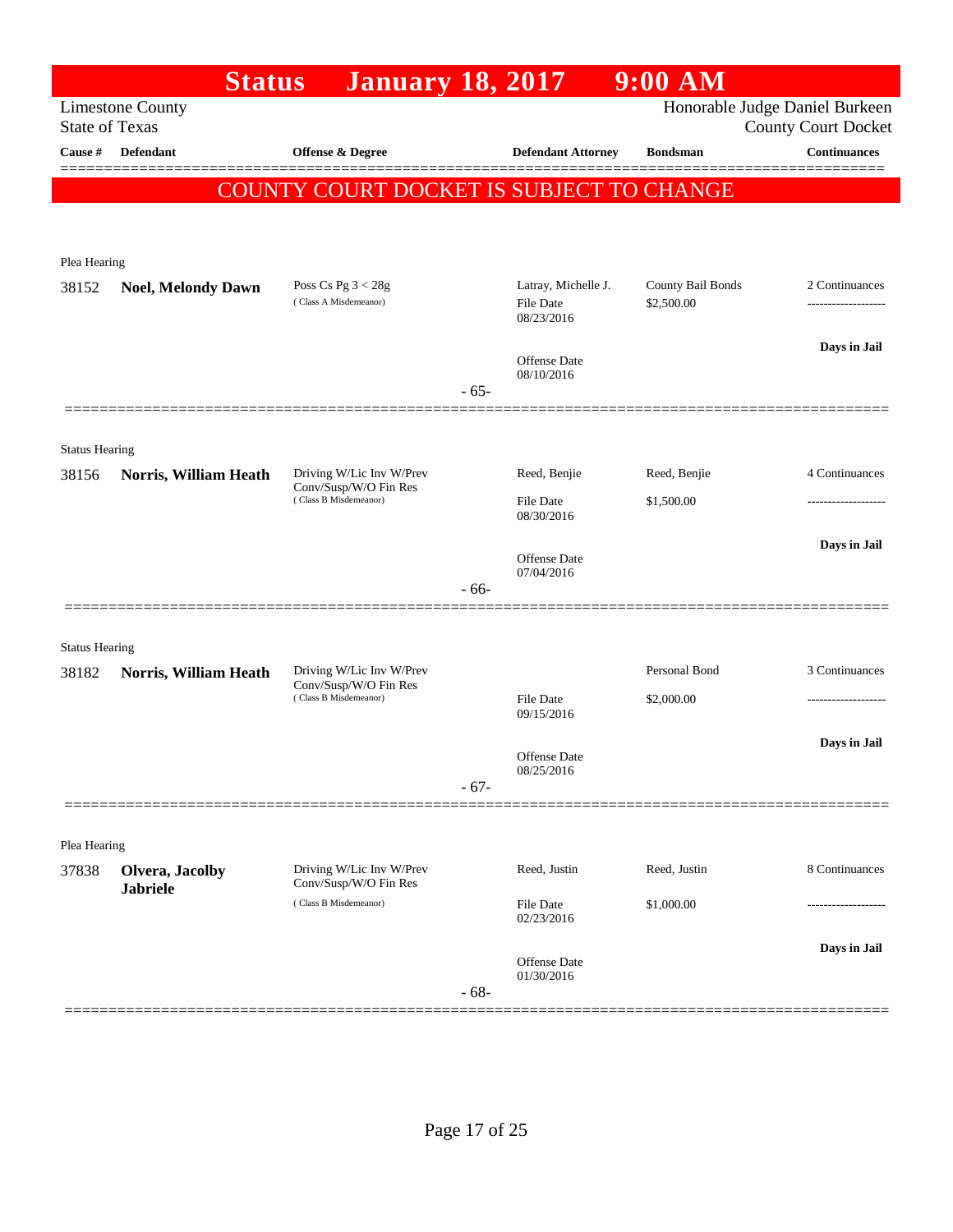|                       |                                    | <b>January 18, 2017</b><br><b>Status</b>          |        |                                                       | $9:00$ AM                       |                                                              |
|-----------------------|------------------------------------|---------------------------------------------------|--------|-------------------------------------------------------|---------------------------------|--------------------------------------------------------------|
| <b>State of Texas</b> | <b>Limestone County</b>            |                                                   |        |                                                       |                                 | Honorable Judge Daniel Burkeen<br><b>County Court Docket</b> |
| Cause #               | <b>Defendant</b>                   | Offense & Degree                                  |        | <b>Defendant Attorney</b>                             | <b>Bondsman</b>                 | <b>Continuances</b>                                          |
|                       |                                    | COUNTY COURT DOCKET IS SUBJECT TO CHANGE          |        |                                                       |                                 |                                                              |
| Plea Hearing          |                                    |                                                   |        |                                                       |                                 |                                                              |
| 38152                 | <b>Noel, Melondy Dawn</b>          | Poss Cs Pg $3 < 28g$<br>(Class A Misdemeanor)     |        | Latray, Michelle J.<br><b>File Date</b><br>08/23/2016 | County Bail Bonds<br>\$2,500.00 | 2 Continuances                                               |
|                       |                                    |                                                   | $-65-$ | Offense Date<br>08/10/2016                            |                                 | Days in Jail                                                 |
| <b>Status Hearing</b> |                                    |                                                   |        |                                                       |                                 |                                                              |
| 38156                 | Norris, William Heath              | Driving W/Lic Inv W/Prev                          |        | Reed, Benjie                                          | Reed, Benjie                    | 4 Continuances                                               |
|                       |                                    | Conv/Susp/W/O Fin Res<br>(Class B Misdemeanor)    |        | <b>File Date</b><br>08/30/2016                        | \$1,500.00                      |                                                              |
|                       |                                    |                                                   | $-66-$ | Offense Date<br>07/04/2016                            |                                 | Days in Jail                                                 |
| <b>Status Hearing</b> |                                    |                                                   |        |                                                       |                                 |                                                              |
| 38182                 | Norris, William Heath              | Driving W/Lic Inv W/Prev<br>Conv/Susp/W/O Fin Res |        |                                                       | Personal Bond                   | 3 Continuances                                               |
|                       |                                    | (Class B Misdemeanor)                             |        | <b>File Date</b><br>09/15/2016                        | \$2,000.00                      | -----------------                                            |
|                       |                                    |                                                   | $-67-$ | Offense Date<br>08/25/2016                            |                                 | Days in Jail                                                 |
| Plea Hearing          |                                    |                                                   |        |                                                       |                                 |                                                              |
| 37838                 | Olvera, Jacolby<br><b>Jabriele</b> | Driving W/Lic Inv W/Prev<br>Conv/Susp/W/O Fin Res |        | Reed, Justin                                          | Reed, Justin                    | 8 Continuances                                               |
|                       |                                    | (Class B Misdemeanor)                             |        | <b>File Date</b><br>02/23/2016                        | \$1,000.00                      |                                                              |
|                       |                                    |                                                   | $-68-$ | Offense Date<br>01/30/2016                            |                                 | Days in Jail                                                 |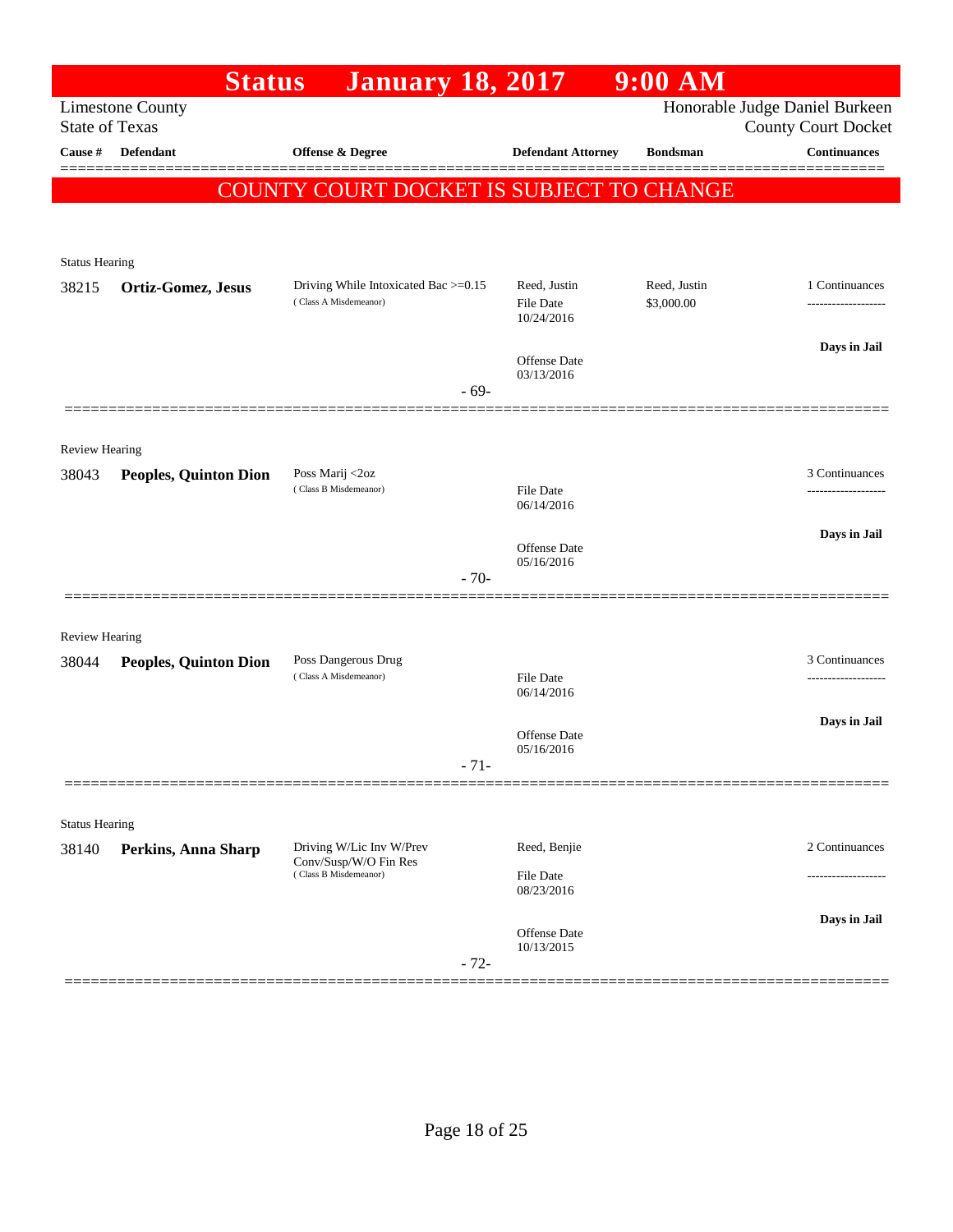|                       | <b>Status</b>                                    | <b>January 18, 2017</b>                           |                                | $9:00$ AM       |                                                              |
|-----------------------|--------------------------------------------------|---------------------------------------------------|--------------------------------|-----------------|--------------------------------------------------------------|
|                       | <b>Limestone County</b><br><b>State of Texas</b> |                                                   |                                |                 | Honorable Judge Daniel Burkeen<br><b>County Court Docket</b> |
| Cause #               | <b>Defendant</b>                                 | Offense & Degree                                  | <b>Defendant Attorney</b>      | <b>Bondsman</b> | <b>Continuances</b>                                          |
|                       |                                                  | COUNTY COURT DOCKET IS SUBJECT TO CHANGE          |                                |                 |                                                              |
|                       |                                                  |                                                   |                                |                 |                                                              |
| <b>Status Hearing</b> |                                                  |                                                   |                                |                 |                                                              |
| 38215                 | Ortiz-Gomez, Jesus                               | Driving While Intoxicated Bac >=0.15              | Reed, Justin                   | Reed, Justin    | 1 Continuances                                               |
|                       |                                                  | (Class A Misdemeanor)                             | <b>File Date</b><br>10/24/2016 | \$3,000.00      |                                                              |
|                       |                                                  |                                                   |                                |                 | Days in Jail                                                 |
|                       |                                                  |                                                   | Offense Date<br>03/13/2016     |                 |                                                              |
|                       |                                                  | $-69-$                                            |                                |                 |                                                              |
| Review Hearing        |                                                  |                                                   |                                |                 |                                                              |
| 38043                 | <b>Peoples, Quinton Dion</b>                     | Poss Marij <2oz                                   |                                |                 | 3 Continuances                                               |
|                       |                                                  | (Class B Misdemeanor)                             | File Date<br>06/14/2016        |                 |                                                              |
|                       |                                                  |                                                   | <b>Offense Date</b>            |                 | Days in Jail                                                 |
|                       |                                                  | $-70-$                                            | 05/16/2016                     |                 |                                                              |
|                       |                                                  |                                                   |                                |                 |                                                              |
| <b>Review Hearing</b> |                                                  |                                                   |                                |                 |                                                              |
| 38044                 | <b>Peoples, Quinton Dion</b>                     | Poss Dangerous Drug<br>(Class A Misdemeanor)      | <b>File Date</b>               |                 | 3 Continuances<br>---------------                            |
|                       |                                                  |                                                   | 06/14/2016                     |                 |                                                              |
|                       |                                                  |                                                   | Offense Date                   |                 | Days in Jail                                                 |
|                       |                                                  | $-71-$                                            | 05/16/2016                     |                 |                                                              |
|                       |                                                  |                                                   |                                |                 |                                                              |
| <b>Status Hearing</b> |                                                  |                                                   |                                |                 |                                                              |
| 38140                 | Perkins, Anna Sharp                              | Driving W/Lic Inv W/Prev<br>Conv/Susp/W/O Fin Res | Reed, Benjie                   |                 | 2 Continuances                                               |
|                       |                                                  | (Class B Misdemeanor)                             | File Date<br>08/23/2016        |                 |                                                              |
|                       |                                                  |                                                   | Offense Date                   |                 | Days in Jail                                                 |
|                       |                                                  | $-72-$                                            | 10/13/2015                     |                 |                                                              |
|                       |                                                  |                                                   |                                |                 |                                                              |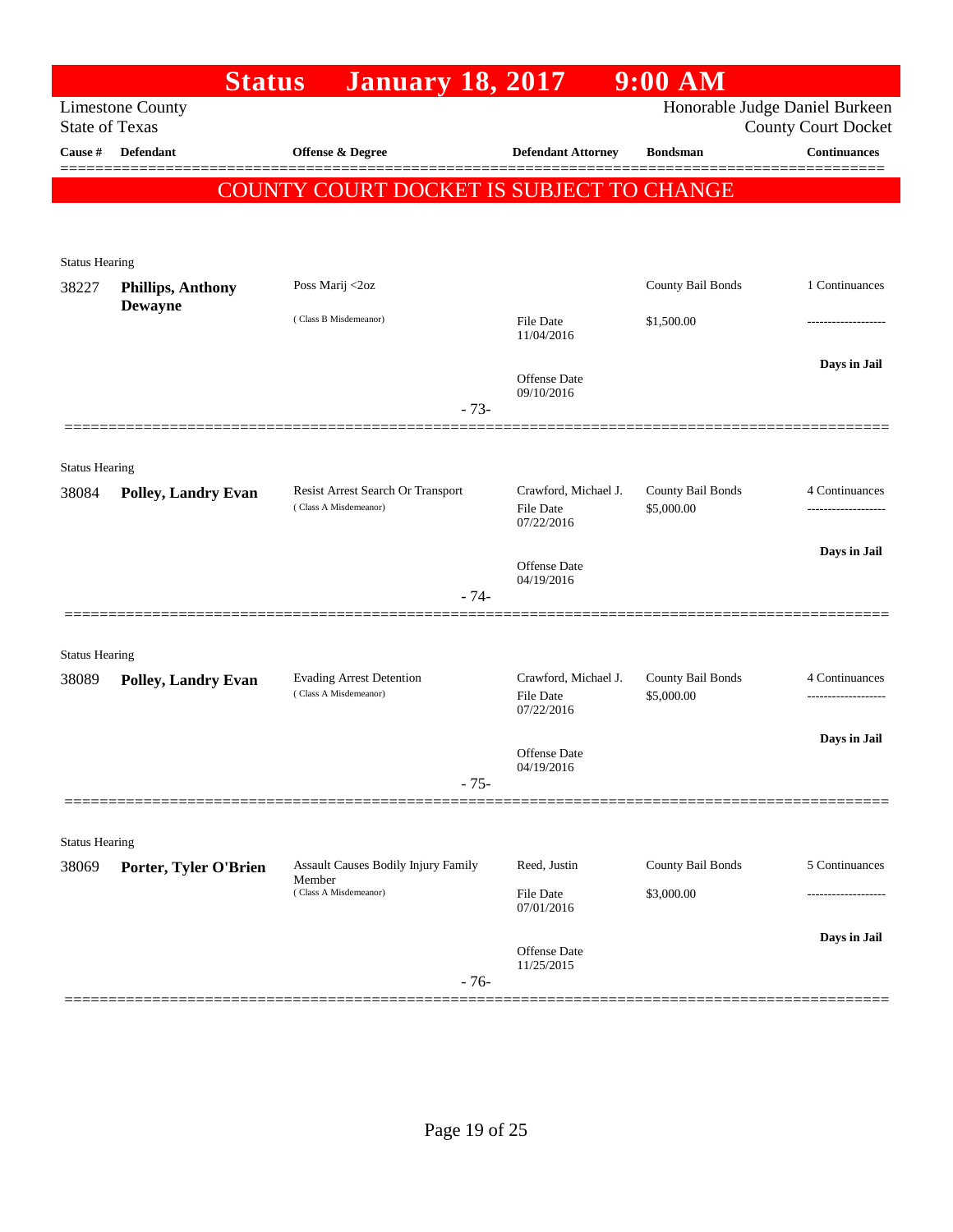|                       |                            | <b>January 18, 2017</b><br><b>Status</b>                   |                                                        | $9:00$ AM                       |                                                              |
|-----------------------|----------------------------|------------------------------------------------------------|--------------------------------------------------------|---------------------------------|--------------------------------------------------------------|
| <b>State of Texas</b> | <b>Limestone County</b>    |                                                            |                                                        |                                 | Honorable Judge Daniel Burkeen<br><b>County Court Docket</b> |
| Cause #               | Defendant                  | Offense & Degree                                           | <b>Defendant Attorney</b>                              | <b>Bondsman</b>                 | <b>Continuances</b>                                          |
|                       |                            | COUNTY COURT DOCKET IS SUBJECT TO CHANGE                   |                                                        |                                 | 200000000                                                    |
| <b>Status Hearing</b> |                            |                                                            |                                                        |                                 |                                                              |
| 38227                 | <b>Phillips, Anthony</b>   | Poss Marij <2oz                                            |                                                        | County Bail Bonds               | 1 Continuances                                               |
|                       | <b>Dewayne</b>             | (Class B Misdemeanor)                                      | File Date<br>11/04/2016                                | \$1,500.00                      |                                                              |
|                       |                            | $-73-$                                                     | Offense Date<br>09/10/2016                             |                                 | Days in Jail                                                 |
| <b>Status Hearing</b> |                            |                                                            |                                                        |                                 |                                                              |
| 38084                 | <b>Polley, Landry Evan</b> | Resist Arrest Search Or Transport<br>(Class A Misdemeanor) | Crawford, Michael J.<br><b>File Date</b><br>07/22/2016 | County Bail Bonds<br>\$5,000.00 | 4 Continuances                                               |
|                       |                            |                                                            | Offense Date<br>04/19/2016                             |                                 | Days in Jail                                                 |
|                       |                            | $-74-$                                                     |                                                        |                                 |                                                              |
| <b>Status Hearing</b> |                            |                                                            |                                                        |                                 |                                                              |
| 38089                 | <b>Polley, Landry Evan</b> | <b>Evading Arrest Detention</b><br>(Class A Misdemeanor)   | Crawford, Michael J.<br>File Date<br>07/22/2016        | County Bail Bonds<br>\$5,000.00 | 4 Continuances                                               |
|                       |                            |                                                            | Offense Date<br>04/19/2016                             |                                 | Days in Jail                                                 |
|                       |                            | $-75-$                                                     |                                                        |                                 |                                                              |
| <b>Status Hearing</b> |                            |                                                            |                                                        |                                 |                                                              |
| 38069                 | Porter, Tyler O'Brien      | <b>Assault Causes Bodily Injury Family</b><br>Member       | Reed, Justin                                           | County Bail Bonds               | 5 Continuances                                               |
|                       |                            | (Class A Misdemeanor)                                      | File Date<br>07/01/2016                                | \$3,000.00                      |                                                              |
|                       |                            | $-76-$                                                     | Offense Date<br>11/25/2015                             |                                 | Days in Jail                                                 |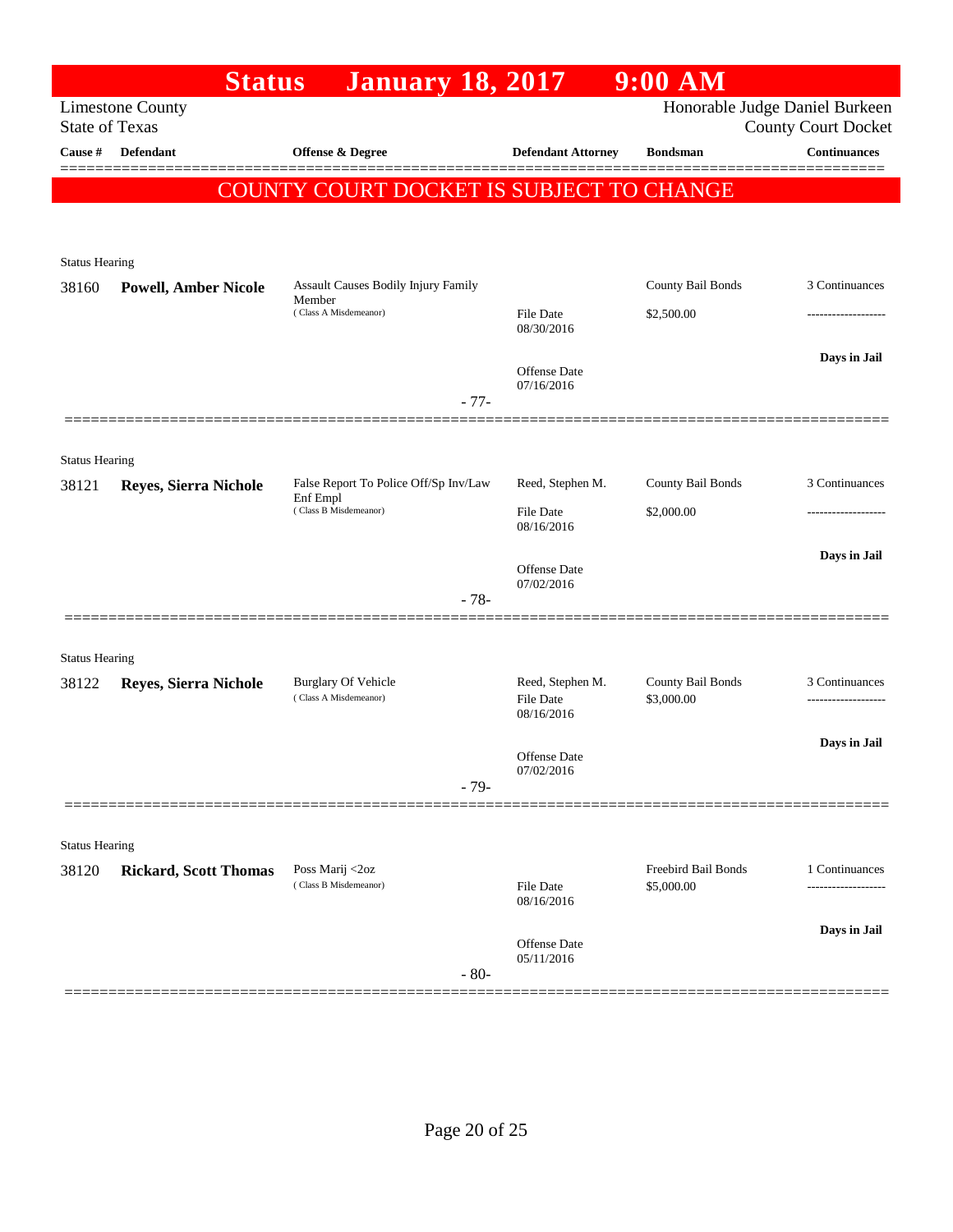|                                | <b>Status</b>                | <b>January 18, 2017</b>                              |                                      | $9:00$ AM                       |                                                              |
|--------------------------------|------------------------------|------------------------------------------------------|--------------------------------------|---------------------------------|--------------------------------------------------------------|
| <b>State of Texas</b>          | <b>Limestone County</b>      |                                                      |                                      |                                 | Honorable Judge Daniel Burkeen<br><b>County Court Docket</b> |
| Cause #                        | Defendant                    | Offense & Degree                                     | <b>Defendant Attorney</b>            | <b>Bondsman</b>                 | <b>Continuances</b>                                          |
|                                |                              | COUNTY COURT DOCKET IS SUBJECT TO CHANGE             |                                      |                                 |                                                              |
|                                |                              |                                                      |                                      |                                 |                                                              |
| <b>Status Hearing</b>          |                              |                                                      |                                      |                                 |                                                              |
| 38160                          | <b>Powell, Amber Nicole</b>  | <b>Assault Causes Bodily Injury Family</b><br>Member |                                      | County Bail Bonds               | 3 Continuances                                               |
|                                |                              | (Class A Misdemeanor)                                | <b>File Date</b><br>08/30/2016       | \$2,500.00                      | -------------------                                          |
|                                |                              |                                                      | <b>Offense</b> Date                  |                                 | Days in Jail                                                 |
|                                |                              | $-77-$                                               | 07/16/2016                           |                                 |                                                              |
|                                |                              |                                                      |                                      |                                 |                                                              |
| <b>Status Hearing</b>          |                              |                                                      |                                      |                                 |                                                              |
| 38121                          | Reyes, Sierra Nichole        | False Report To Police Off/Sp Inv/Law<br>Enf Empl    | Reed, Stephen M.                     | County Bail Bonds               | 3 Continuances                                               |
|                                |                              | (Class B Misdemeanor)                                | <b>File Date</b><br>08/16/2016       | \$2,000.00                      | -------------------                                          |
|                                |                              |                                                      | Offense Date                         |                                 | Days in Jail                                                 |
|                                |                              | $-78-$                                               | 07/02/2016                           |                                 |                                                              |
|                                |                              |                                                      |                                      |                                 |                                                              |
| <b>Status Hearing</b>          |                              |                                                      |                                      |                                 |                                                              |
| 38122                          | Reyes, Sierra Nichole        | <b>Burglary Of Vehicle</b><br>(Class A Misdemeanor)  | Reed, Stephen M.<br><b>File Date</b> | County Bail Bonds<br>\$3,000.00 | 3 Continuances<br>-------------------                        |
|                                |                              |                                                      | 08/16/2016                           |                                 |                                                              |
|                                |                              |                                                      | Offense Date<br>07/02/2016           |                                 | Days in Jail                                                 |
|                                |                              | $-79-$                                               |                                      |                                 |                                                              |
|                                |                              |                                                      |                                      |                                 |                                                              |
| <b>Status Hearing</b><br>38120 | <b>Rickard, Scott Thomas</b> | Poss Marij <2oz                                      |                                      | Freebird Bail Bonds             | 1 Continuances                                               |
|                                |                              | (Class B Misdemeanor)                                | <b>File Date</b><br>08/16/2016       | \$5,000.00                      |                                                              |
|                                |                              |                                                      |                                      |                                 | Days in Jail                                                 |
|                                |                              | $-80-$                                               | Offense Date<br>05/11/2016           |                                 |                                                              |
|                                |                              |                                                      |                                      |                                 |                                                              |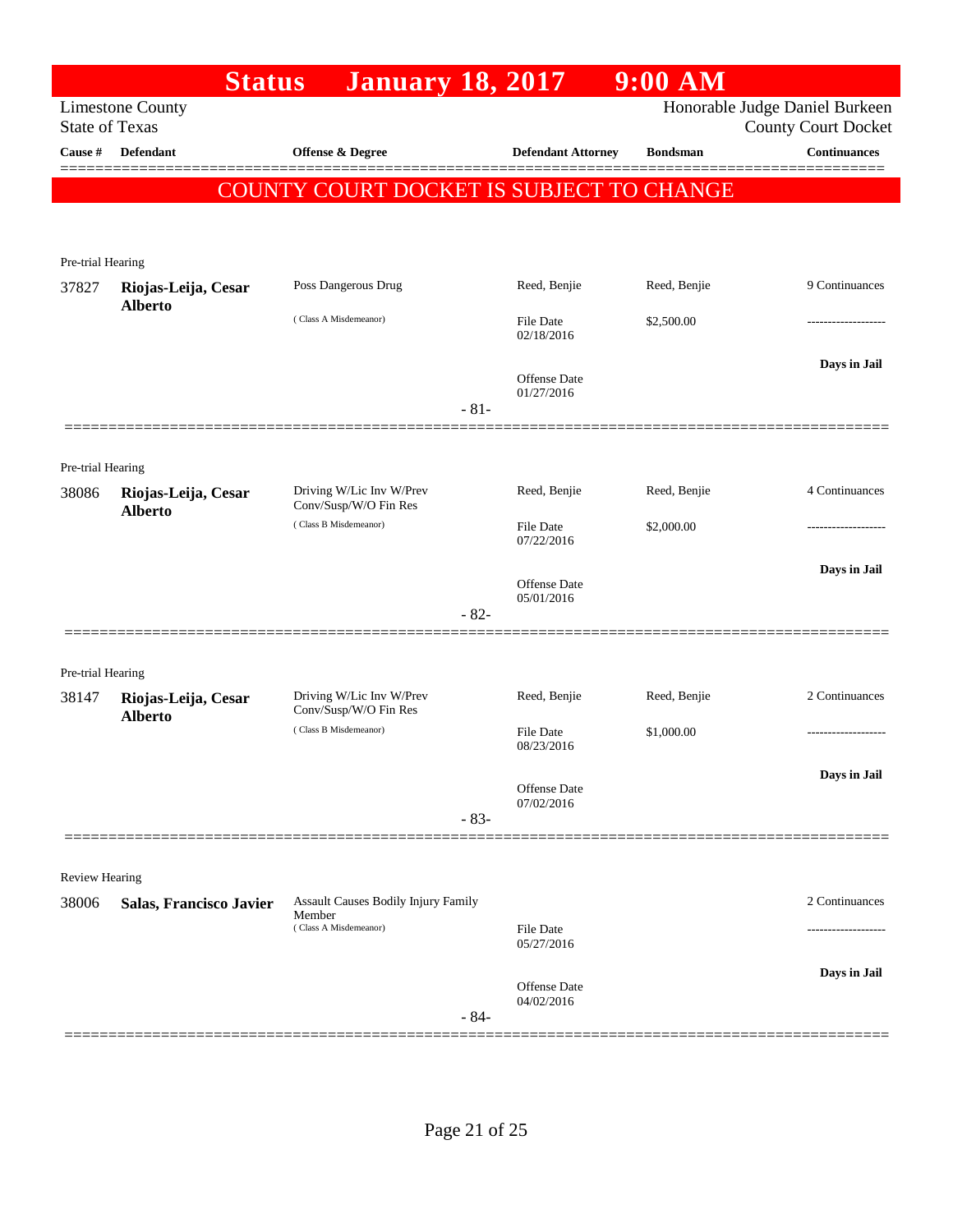|                                  | <b>Status</b>                         | <b>January 18, 2017</b>                           |        |                                   | $9:00$ AM       |                                                   |
|----------------------------------|---------------------------------------|---------------------------------------------------|--------|-----------------------------------|-----------------|---------------------------------------------------|
|                                  | <b>Limestone County</b>               |                                                   |        |                                   |                 | Honorable Judge Daniel Burkeen                    |
| <b>State of Texas</b><br>Cause # | <b>Defendant</b>                      | Offense & Degree                                  |        | <b>Defendant Attorney</b>         | <b>Bondsman</b> | <b>County Court Docket</b><br><b>Continuances</b> |
|                                  |                                       |                                                   |        |                                   |                 |                                                   |
|                                  |                                       | <b>COUNTY COURT DOCKET IS SUBJECT TO CHANGE</b>   |        |                                   |                 |                                                   |
|                                  |                                       |                                                   |        |                                   |                 |                                                   |
| Pre-trial Hearing                |                                       |                                                   |        |                                   |                 |                                                   |
| 37827                            | Riojas-Leija, Cesar                   | Poss Dangerous Drug                               |        | Reed, Benjie                      | Reed, Benjie    | 9 Continuances                                    |
|                                  | <b>Alberto</b>                        |                                                   |        |                                   |                 |                                                   |
|                                  |                                       | (Class A Misdemeanor)                             |        | File Date<br>02/18/2016           | \$2,500.00      |                                                   |
|                                  |                                       |                                                   |        |                                   |                 | Days in Jail                                      |
|                                  |                                       |                                                   |        | <b>Offense</b> Date<br>01/27/2016 |                 |                                                   |
|                                  |                                       |                                                   | $-81-$ |                                   |                 |                                                   |
|                                  |                                       |                                                   |        |                                   |                 |                                                   |
| Pre-trial Hearing                |                                       |                                                   |        |                                   |                 |                                                   |
| 38086                            | Riojas-Leija, Cesar                   | Driving W/Lic Inv W/Prev<br>Conv/Susp/W/O Fin Res |        | Reed, Benjie                      | Reed, Benjie    | 4 Continuances                                    |
|                                  | <b>Alberto</b>                        | (Class B Misdemeanor)                             |        | File Date                         | \$2,000.00      |                                                   |
|                                  |                                       |                                                   |        | 07/22/2016                        |                 |                                                   |
|                                  |                                       |                                                   |        | Offense Date                      |                 | Days in Jail                                      |
|                                  |                                       |                                                   |        | 05/01/2016                        |                 |                                                   |
|                                  |                                       |                                                   | $-82-$ |                                   |                 |                                                   |
|                                  |                                       |                                                   |        |                                   |                 |                                                   |
| Pre-trial Hearing                |                                       |                                                   |        |                                   |                 |                                                   |
| 38147                            | Riojas-Leija, Cesar<br><b>Alberto</b> | Driving W/Lic Inv W/Prev<br>Conv/Susp/W/O Fin Res |        | Reed, Benjie                      | Reed, Benjie    | 2 Continuances                                    |
|                                  |                                       | (Class B Misdemeanor)                             |        | <b>File Date</b><br>08/23/2016    | \$1,000.00      | ----------------                                  |
|                                  |                                       |                                                   |        |                                   |                 |                                                   |
|                                  |                                       |                                                   |        | <b>Offense</b> Date               |                 | Days in Jail                                      |
|                                  |                                       |                                                   | $-83-$ | 07/02/2016                        |                 |                                                   |
|                                  |                                       |                                                   |        |                                   |                 |                                                   |
| <b>Review Hearing</b>            |                                       |                                                   |        |                                   |                 |                                                   |
| 38006                            | Salas, Francisco Javier               | <b>Assault Causes Bodily Injury Family</b>        |        |                                   |                 | 2 Continuances                                    |
|                                  |                                       | Member<br>(Class A Misdemeanor)                   |        | File Date                         |                 |                                                   |
|                                  |                                       |                                                   |        | 05/27/2016                        |                 |                                                   |
|                                  |                                       |                                                   |        | Offense Date                      |                 | Days in Jail                                      |
|                                  |                                       |                                                   |        | 04/02/2016                        |                 |                                                   |
|                                  |                                       |                                                   | $-84-$ |                                   |                 |                                                   |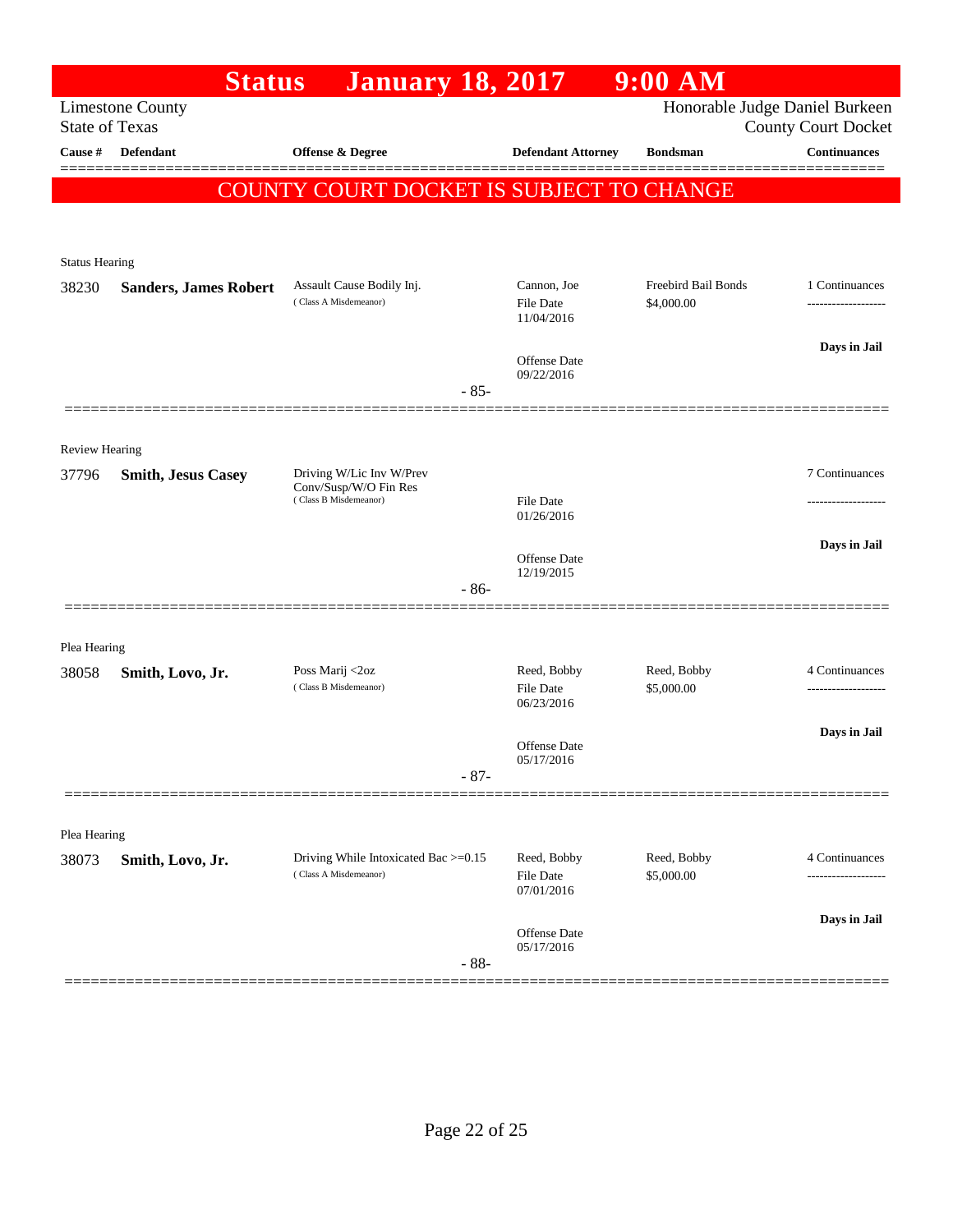|                       | <b>Status</b>                | <b>January 18, 2017</b>                                                    |        |                                   | $9:00$ AM                  |                                                   |
|-----------------------|------------------------------|----------------------------------------------------------------------------|--------|-----------------------------------|----------------------------|---------------------------------------------------|
| <b>State of Texas</b> | <b>Limestone County</b>      |                                                                            |        |                                   |                            | Honorable Judge Daniel Burkeen                    |
| Cause #               | Defendant                    | Offense & Degree                                                           |        | <b>Defendant Attorney</b>         | <b>Bondsman</b>            | <b>County Court Docket</b><br><b>Continuances</b> |
|                       |                              |                                                                            |        |                                   |                            |                                                   |
|                       |                              | COUNTY COURT DOCKET IS SUBJECT TO CHANGE                                   |        |                                   |                            |                                                   |
|                       |                              |                                                                            |        |                                   |                            |                                                   |
| <b>Status Hearing</b> |                              |                                                                            |        |                                   |                            |                                                   |
| 38230                 | <b>Sanders, James Robert</b> | Assault Cause Bodily Inj.                                                  |        | Cannon, Joe                       | <b>Freebird Bail Bonds</b> | 1 Continuances                                    |
|                       |                              | (Class A Misdemeanor)                                                      |        | <b>File Date</b><br>11/04/2016    | \$4,000.00                 |                                                   |
|                       |                              |                                                                            |        |                                   |                            | Days in Jail                                      |
|                       |                              |                                                                            |        | Offense Date<br>09/22/2016        |                            |                                                   |
|                       |                              |                                                                            | $-85-$ |                                   |                            |                                                   |
|                       |                              |                                                                            |        |                                   |                            |                                                   |
| <b>Review Hearing</b> |                              |                                                                            |        |                                   |                            |                                                   |
| 37796                 | <b>Smith, Jesus Casey</b>    | Driving W/Lic Inv W/Prev<br>Conv/Susp/W/O Fin Res<br>(Class B Misdemeanor) |        |                                   |                            | 7 Continuances                                    |
|                       |                              |                                                                            |        | <b>File Date</b><br>01/26/2016    |                            |                                                   |
|                       |                              |                                                                            |        |                                   |                            | Days in Jail                                      |
|                       |                              |                                                                            |        | <b>Offense Date</b><br>12/19/2015 |                            |                                                   |
|                       |                              |                                                                            | $-86-$ |                                   |                            |                                                   |
|                       |                              |                                                                            |        |                                   |                            |                                                   |
| Plea Hearing          |                              |                                                                            |        |                                   |                            |                                                   |
| 38058                 | Smith, Lovo, Jr.             | Poss Marij <2oz<br>(Class B Misdemeanor)                                   |        | Reed, Bobby<br><b>File Date</b>   | Reed, Bobby<br>\$5,000.00  | 4 Continuances<br>-------------------             |
|                       |                              |                                                                            |        | 06/23/2016                        |                            |                                                   |
|                       |                              |                                                                            |        | Offense Date                      |                            | Days in Jail                                      |
|                       |                              |                                                                            | $-87-$ | 05/17/2016                        |                            |                                                   |
|                       |                              |                                                                            |        |                                   |                            |                                                   |
| Plea Hearing          |                              |                                                                            |        |                                   |                            |                                                   |
| 38073                 | Smith, Lovo, Jr.             | Driving While Intoxicated Bac >=0.15                                       |        | Reed, Bobby                       | Reed, Bobby                | 4 Continuances                                    |
|                       |                              | (Class A Misdemeanor)                                                      |        | <b>File Date</b><br>07/01/2016    | \$5,000.00                 | ---------------                                   |
|                       |                              |                                                                            |        |                                   |                            | Days in Jail                                      |
|                       |                              |                                                                            |        | Offense Date<br>05/17/2016        |                            |                                                   |
|                       |                              |                                                                            | $-88-$ |                                   |                            |                                                   |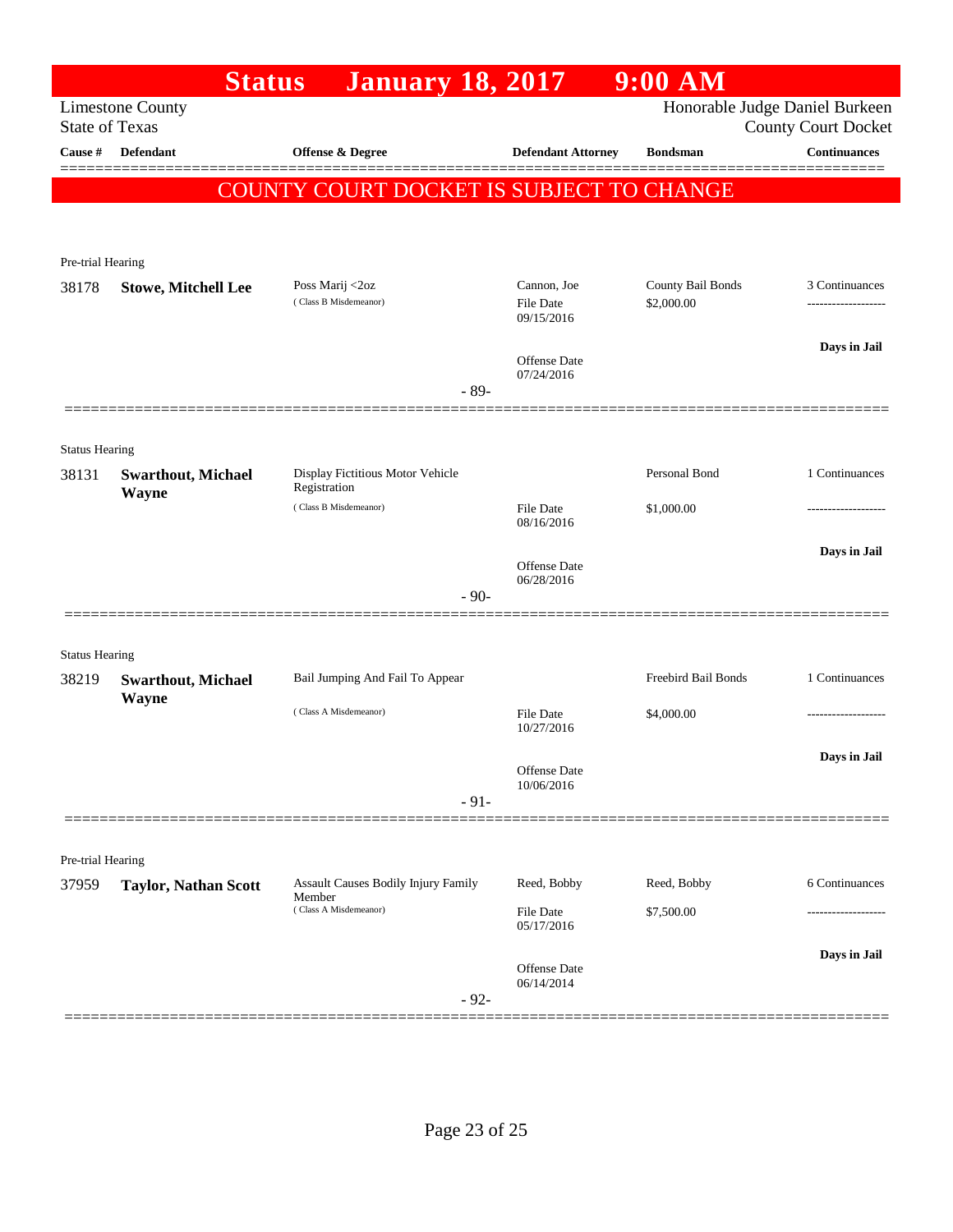|                            | <b>Status</b>                             | <b>January 18, 2017</b>                          |                                   | $9:00$ AM           |                                                              |
|----------------------------|-------------------------------------------|--------------------------------------------------|-----------------------------------|---------------------|--------------------------------------------------------------|
| <b>State of Texas</b>      | <b>Limestone County</b>                   |                                                  |                                   |                     | Honorable Judge Daniel Burkeen<br><b>County Court Docket</b> |
| Cause #                    | <b>Defendant</b>                          | Offense & Degree                                 | <b>Defendant Attorney</b>         | <b>Bondsman</b>     | <b>Continuances</b>                                          |
|                            |                                           | <b>COUNTY COURT DOCKET IS SUBJECT TO CHANGE</b>  |                                   |                     |                                                              |
|                            |                                           |                                                  |                                   |                     |                                                              |
|                            |                                           |                                                  |                                   |                     |                                                              |
| Pre-trial Hearing<br>38178 | <b>Stowe, Mitchell Lee</b>                | Poss Marij <2oz                                  | Cannon, Joe                       | County Bail Bonds   | 3 Continuances                                               |
|                            |                                           | (Class B Misdemeanor)                            | <b>File Date</b><br>09/15/2016    | \$2,000.00          |                                                              |
|                            |                                           |                                                  | Offense Date                      |                     | Days in Jail                                                 |
|                            |                                           | $-89-$                                           | 07/24/2016                        |                     |                                                              |
|                            |                                           |                                                  |                                   |                     |                                                              |
| <b>Status Hearing</b>      |                                           |                                                  |                                   |                     |                                                              |
| 38131                      | <b>Swarthout, Michael</b><br><b>Wayne</b> | Display Fictitious Motor Vehicle<br>Registration |                                   | Personal Bond       | 1 Continuances                                               |
|                            |                                           | (Class B Misdemeanor)                            | <b>File Date</b><br>08/16/2016    | \$1,000.00          |                                                              |
|                            |                                           |                                                  | <b>Offense</b> Date<br>06/28/2016 |                     | Days in Jail                                                 |
|                            |                                           | $-90-$                                           |                                   |                     |                                                              |
| <b>Status Hearing</b>      |                                           |                                                  |                                   |                     |                                                              |
| 38219                      | <b>Swarthout, Michael</b>                 | Bail Jumping And Fail To Appear                  |                                   | Freebird Bail Bonds | 1 Continuances                                               |
|                            | Wayne                                     | (Class A Misdemeanor)                            | <b>File Date</b><br>10/27/2016    | \$4,000.00          | .                                                            |
|                            |                                           |                                                  |                                   |                     | Days in Jail                                                 |
|                            |                                           |                                                  | Offense Date<br>10/06/2016        |                     |                                                              |
|                            |                                           | $-91-$                                           |                                   |                     |                                                              |
|                            |                                           |                                                  |                                   |                     |                                                              |
| Pre-trial Hearing<br>37959 | <b>Taylor, Nathan Scott</b>               | <b>Assault Causes Bodily Injury Family</b>       | Reed, Bobby                       | Reed, Bobby         | 6 Continuances                                               |
|                            |                                           | Member<br>(Class A Misdemeanor)                  | File Date<br>05/17/2016           | \$7,500.00          |                                                              |
|                            |                                           | $-92-$                                           | <b>Offense</b> Date<br>06/14/2014 |                     | Days in Jail                                                 |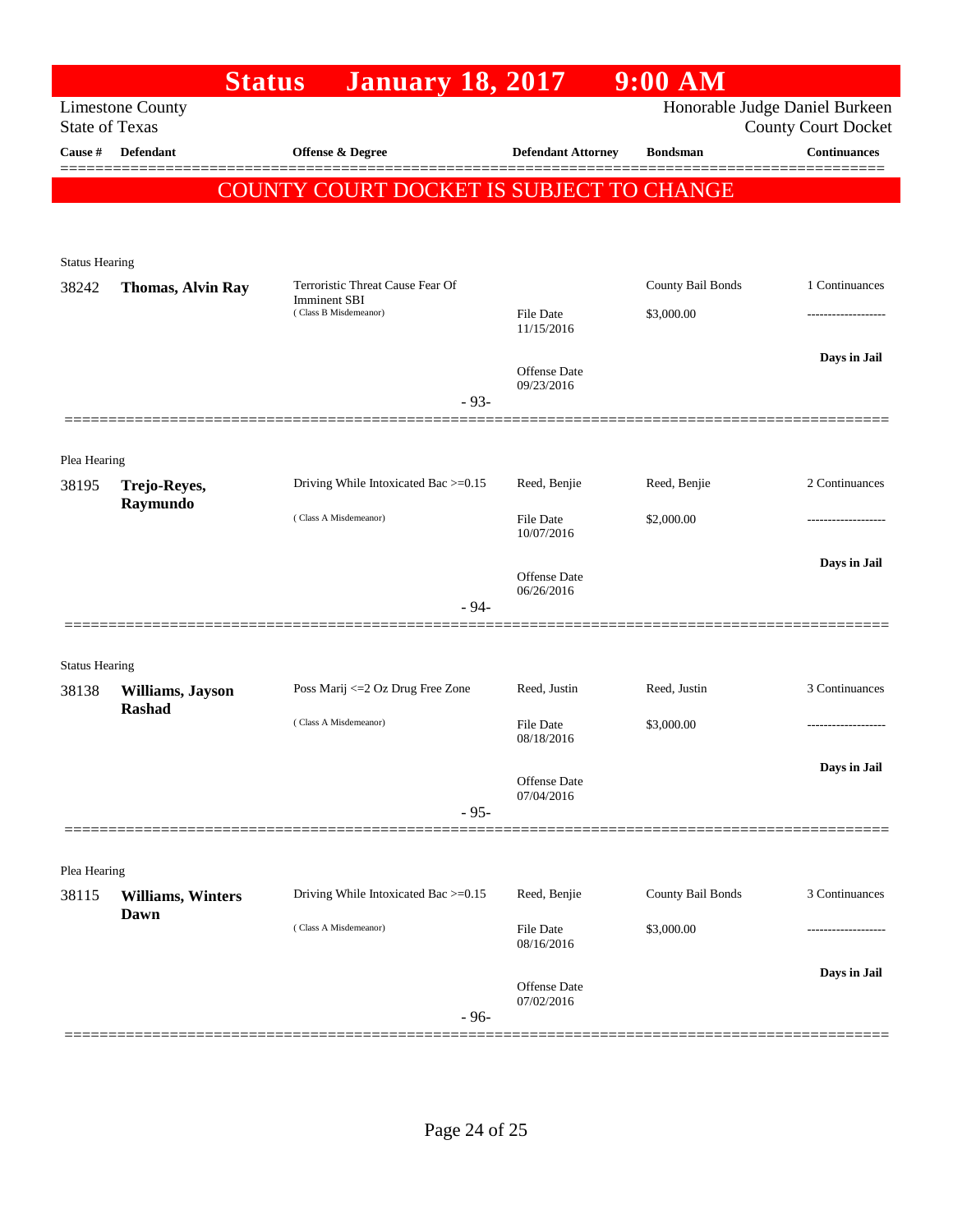|                                  |                           | <b>Status</b><br><b>January 18, 2017</b>     |                                   | $9:00$ AM         |                                                   |
|----------------------------------|---------------------------|----------------------------------------------|-----------------------------------|-------------------|---------------------------------------------------|
|                                  | <b>Limestone County</b>   |                                              |                                   |                   | Honorable Judge Daniel Burkeen                    |
| <b>State of Texas</b><br>Cause # | <b>Defendant</b>          | <b>Offense &amp; Degree</b>                  | <b>Defendant Attorney</b>         | <b>Bondsman</b>   | <b>County Court Docket</b><br><b>Continuances</b> |
|                                  |                           |                                              |                                   |                   |                                                   |
|                                  |                           | COUNTY COURT DOCKET IS SUBJECT TO CHANGE     |                                   |                   |                                                   |
|                                  |                           |                                              |                                   |                   |                                                   |
| <b>Status Hearing</b>            |                           |                                              |                                   |                   |                                                   |
| 38242                            | <b>Thomas, Alvin Ray</b>  | Terroristic Threat Cause Fear Of             |                                   | County Bail Bonds | 1 Continuances                                    |
|                                  |                           | <b>Imminent SBI</b><br>(Class B Misdemeanor) | <b>File Date</b><br>11/15/2016    | \$3,000.00        |                                                   |
|                                  |                           |                                              | <b>Offense</b> Date               |                   | Days in Jail                                      |
|                                  |                           | $-93-$                                       | 09/23/2016                        |                   |                                                   |
|                                  |                           |                                              |                                   |                   |                                                   |
| Plea Hearing                     |                           |                                              |                                   |                   |                                                   |
| 38195                            | Trejo-Reyes,<br>Raymundo  | Driving While Intoxicated Bac >=0.15         | Reed, Benjie                      | Reed, Benjie      | 2 Continuances                                    |
|                                  |                           | (Class A Misdemeanor)                        | <b>File Date</b><br>10/07/2016    | \$2,000.00        |                                                   |
|                                  |                           |                                              | <b>Offense Date</b><br>06/26/2016 |                   | Days in Jail                                      |
|                                  |                           | $-94-$                                       |                                   |                   |                                                   |
| <b>Status Hearing</b>            |                           |                                              |                                   |                   |                                                   |
| 38138                            | Williams, Jayson          | Poss Marij <= 2 Oz Drug Free Zone            | Reed, Justin                      | Reed, Justin      | 3 Continuances                                    |
|                                  | <b>Rashad</b>             | (Class A Misdemeanor)                        | File Date<br>08/18/2016           | \$3,000.00        |                                                   |
|                                  |                           |                                              |                                   |                   | Days in Jail                                      |
|                                  |                           |                                              | Offense Date<br>07/04/2016        |                   |                                                   |
|                                  |                           | $-95-$                                       |                                   |                   |                                                   |
| Plea Hearing                     |                           |                                              |                                   |                   |                                                   |
| 38115                            | <b>Williams</b> , Winters | Driving While Intoxicated Bac >=0.15         | Reed, Benjie                      | County Bail Bonds | 3 Continuances                                    |
|                                  | Dawn                      | (Class A Misdemeanor)                        | File Date                         | \$3,000.00        |                                                   |
|                                  |                           |                                              | 08/16/2016                        |                   |                                                   |
|                                  |                           |                                              | Offense Date                      |                   | Days in Jail                                      |
|                                  |                           | $-96-$                                       | 07/02/2016                        |                   |                                                   |